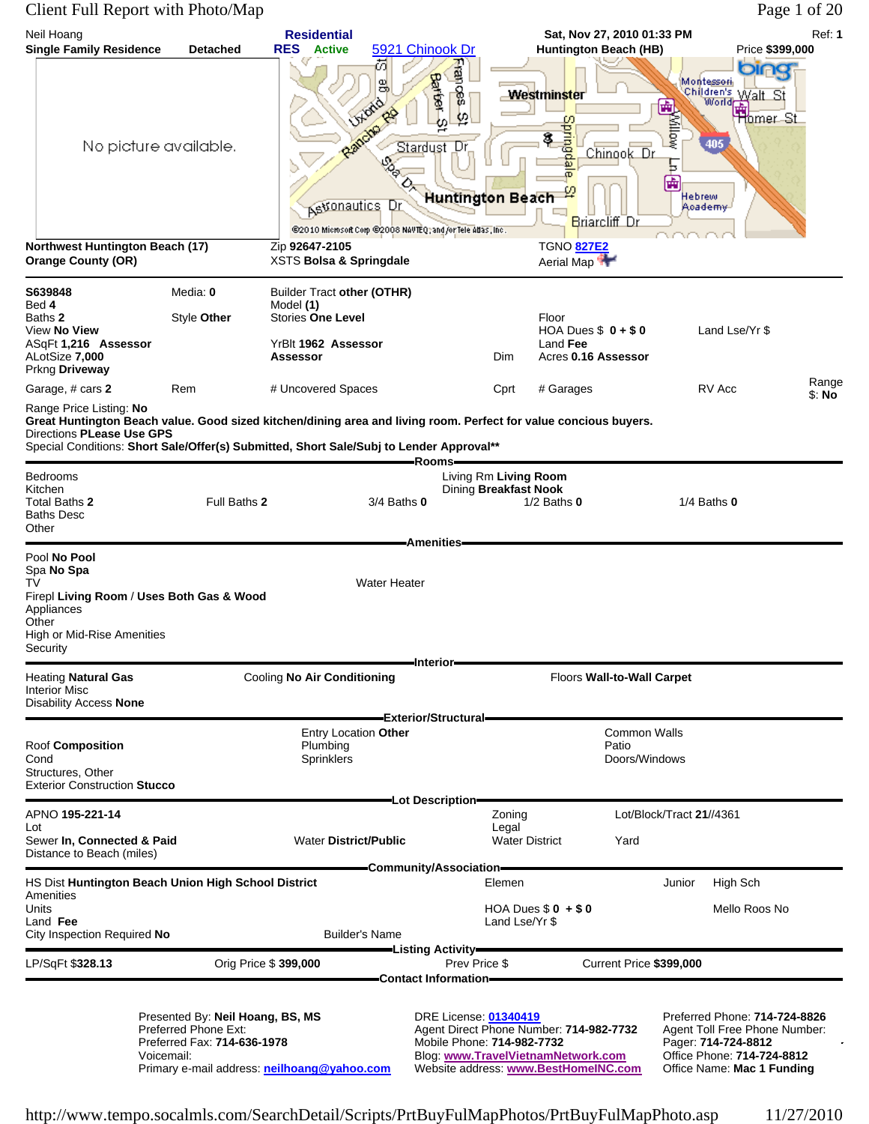#### Client Full Report with Photo/Map Page 1 of 20

| Neil Hoang<br><b>Single Family Residence</b>                                                                                                                                                                                                                                                                                              | <b>Detached</b>                                                                                                                                      | <b>Residential</b><br><b>RES</b> Active                                  |                                                | 5921 Chinook Dr                                                                                                                              |                                | Sat, Nov 27, 2010 01:33 PM<br><b>Huntington Beach (HB)</b>                                                            |                                                               | Price \$399,000                                                                                                                                   | Ref: 1          |
|-------------------------------------------------------------------------------------------------------------------------------------------------------------------------------------------------------------------------------------------------------------------------------------------------------------------------------------------|------------------------------------------------------------------------------------------------------------------------------------------------------|--------------------------------------------------------------------------|------------------------------------------------|----------------------------------------------------------------------------------------------------------------------------------------------|--------------------------------|-----------------------------------------------------------------------------------------------------------------------|---------------------------------------------------------------|---------------------------------------------------------------------------------------------------------------------------------------------------|-----------------|
| Northwest Huntington Beach (17)<br><b>Orange County (OR)</b>                                                                                                                                                                                                                                                                              | No picture available.                                                                                                                                | Astonautics<br>Zip 92647-2105<br><b>XSTS Bolsa &amp; Springdale</b>      | øГ<br>읭<br><b>Julena</b><br>Randro<br>Ο,<br>Dr | <b>Frances</b><br>Barber-<br>φ<br>ě<br>Stardust Dr<br><b>Huntington Beach</b><br>@2010 Microsoft Corp @2008 NAVTEQ; and for Tele Atlas, Inc. |                                | <b>Westminster</b><br><b>Springda</b><br>\$.<br>Chinook Dr<br>æ<br>Briarcliff Dr<br><b>TGNO 827E2</b><br>Aerial Map   | Montessori<br><b>E</b> Millow<br>Б<br>區<br>Hebrew<br>Aoademv≓ | Children's Walt St<br>405                                                                                                                         |                 |
| S639848                                                                                                                                                                                                                                                                                                                                   | Media: 0                                                                                                                                             | <b>Builder Tract other (OTHR)</b>                                        |                                                |                                                                                                                                              |                                |                                                                                                                       |                                                               |                                                                                                                                                   |                 |
| Bed 4<br>Baths 2<br>View <b>No View</b><br>ASqFt 1,216 Assessor<br>ALotSize 7,000<br>Prkng Driveway                                                                                                                                                                                                                                       | Style Other                                                                                                                                          | Model (1)<br><b>Stories One Level</b><br>YrBlt 1962 Assessor<br>Assessor |                                                |                                                                                                                                              | Dim                            | Floor<br>HOA Dues $$0 + $0$<br>Land Fee<br>Acres 0.16 Assessor                                                        |                                                               | Land Lse/Yr \$                                                                                                                                    |                 |
| Garage, # cars 2                                                                                                                                                                                                                                                                                                                          | Rem                                                                                                                                                  | # Uncovered Spaces                                                       |                                                |                                                                                                                                              | Cprt                           | # Garages                                                                                                             |                                                               | RV Acc                                                                                                                                            | Range<br>\$: No |
| Range Price Listing: No<br>Great Huntington Beach value. Good sized kitchen/dining area and living room. Perfect for value concious buyers.<br>Directions PLease Use GPS<br>Special Conditions: Short Sale/Offer(s) Submitted, Short Sale/Subj to Lender Approval**<br>Bedrooms<br>Kitchen<br>Total Baths 2<br><b>Baths Desc</b><br>Other | Full Baths 2                                                                                                                                         |                                                                          | 3/4 Baths 0                                    | Rooms-<br>Living Rm Living Room<br>Dining Breakfast Nook                                                                                     |                                | $1/2$ Baths $0$                                                                                                       | $1/4$ Baths $0$                                               |                                                                                                                                                   |                 |
| Spa No Spa<br>TV<br>Firepl Living Room / Uses Both Gas & Wood<br>Appliances<br>Other<br>High or Mid-Rise Amenities<br>Security                                                                                                                                                                                                            |                                                                                                                                                      |                                                                          | <b>Water Heater</b>                            | =Interior=                                                                                                                                   |                                |                                                                                                                       |                                                               |                                                                                                                                                   |                 |
| <b>Heating Natural Gas</b><br><b>Interior Misc</b><br><b>Disability Access None</b>                                                                                                                                                                                                                                                       |                                                                                                                                                      | Cooling No Air Conditioning                                              |                                                | -Exterior/Structural-                                                                                                                        |                                | Floors Wall-to-Wall Carpet                                                                                            |                                                               |                                                                                                                                                   |                 |
| Roof Composition<br>Cond<br>Structures, Other<br><b>Exterior Construction Stucco</b>                                                                                                                                                                                                                                                      |                                                                                                                                                      | Entry Location Other<br>Plumbing<br>Sprinklers                           |                                                |                                                                                                                                              |                                | Patio                                                                                                                 | <b>Common Walls</b><br>Doors/Windows                          |                                                                                                                                                   |                 |
| APNO <b>195-221-14</b>                                                                                                                                                                                                                                                                                                                    |                                                                                                                                                      |                                                                          |                                                | -Lot Description-                                                                                                                            | Zoning                         |                                                                                                                       | Lot/Block/Tract 21//4361                                      |                                                                                                                                                   |                 |
| Lot<br>Sewer In, Connected & Paid<br>Distance to Beach (miles)                                                                                                                                                                                                                                                                            |                                                                                                                                                      | <b>Water District/Public</b>                                             |                                                |                                                                                                                                              | Legal<br><b>Water District</b> | Yard                                                                                                                  |                                                               |                                                                                                                                                   |                 |
| HS Dist Huntington Beach Union High School District                                                                                                                                                                                                                                                                                       |                                                                                                                                                      |                                                                          |                                                | <del>—</del> Community/Association <del>——</del>                                                                                             | Elemen                         |                                                                                                                       | Junior                                                        | High Sch                                                                                                                                          |                 |
| Amenities<br>Units<br>Land Fee<br>City Inspection Required No                                                                                                                                                                                                                                                                             |                                                                                                                                                      | <b>Builder's Name</b>                                                    |                                                |                                                                                                                                              | Land Lse/Yr \$                 | HOA Dues $$0 + $0$                                                                                                    |                                                               | Mello Roos No                                                                                                                                     |                 |
|                                                                                                                                                                                                                                                                                                                                           |                                                                                                                                                      |                                                                          |                                                | —Listing Activity———                                                                                                                         |                                |                                                                                                                       |                                                               |                                                                                                                                                   |                 |
| LP/SqFt \$328.13                                                                                                                                                                                                                                                                                                                          |                                                                                                                                                      | Orig Price \$ 399,000                                                    |                                                | Prev Price \$<br>=Contact Information==                                                                                                      |                                |                                                                                                                       | Current Price \$399,000                                       |                                                                                                                                                   |                 |
|                                                                                                                                                                                                                                                                                                                                           | Presented By: Neil Hoang, BS, MS<br>Preferred Phone Ext:<br>Preferred Fax: 714-636-1978<br>Voicemail:<br>Primary e-mail address: neilhoang@yahoo.com |                                                                          |                                                | DRE License: 01340419<br>Mobile Phone: 714-982-7732                                                                                          |                                | Agent Direct Phone Number: 714-982-7732<br>Blog: www.TravelVietnamNetwork.com<br>Website address: www.BestHomeINC.com |                                                               | Preferred Phone: 714-724-8826<br>Agent Toll Free Phone Number:<br>Pager: 714-724-8812<br>Office Phone: 714-724-8812<br>Office Name: Mac 1 Funding |                 |

http://www.tempo.socalmls.com/SearchDetail/Scripts/PrtBuyFulMapPhotos/PrtBuyFulMapPhoto.asp 11/27/2010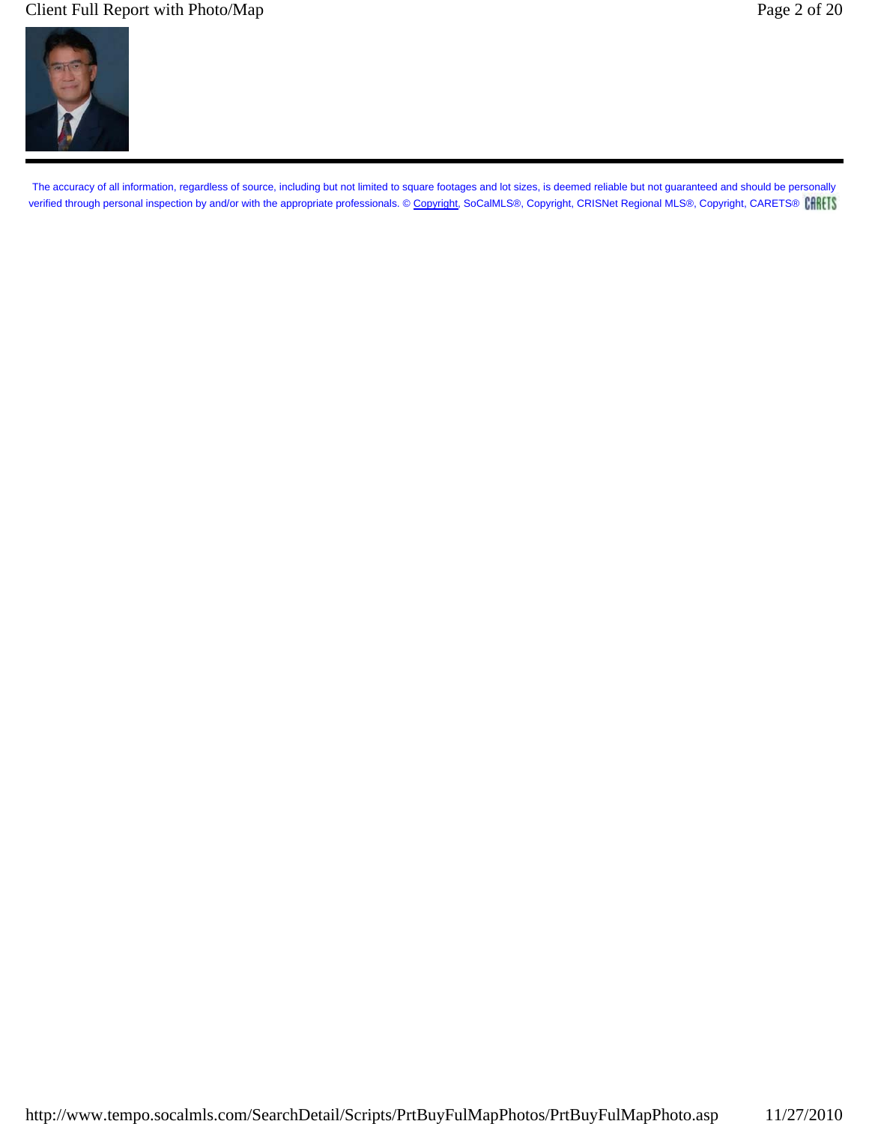## Client Full Report with Photo/Map Page 2 of 20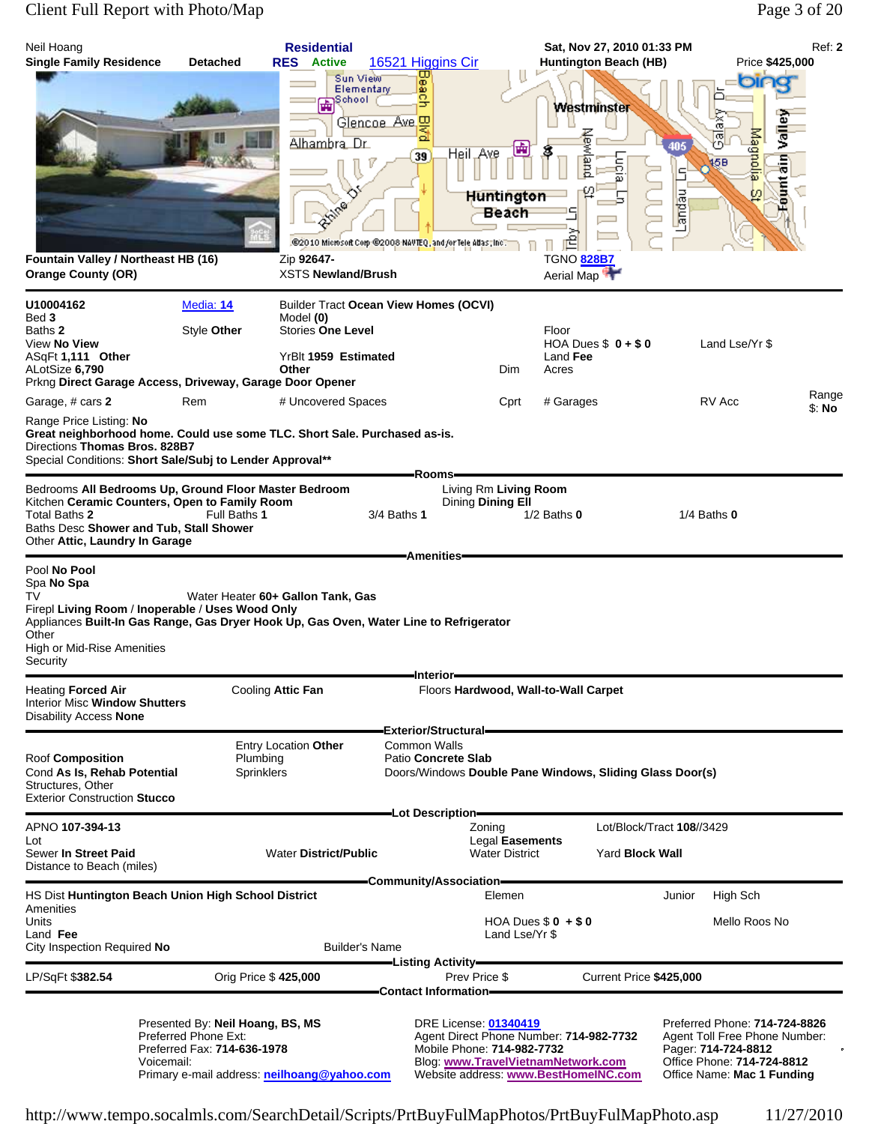# Client Full Report with Photo/Map Page 3 of 20

| Neil Hoang<br><b>Single Family Residence</b>                                                                                                                                                                                      | <b>Detached</b>                                                                                                                        | <b>Residential</b><br><b>RES</b> Active<br>Sun View                                                  | 16521 Higgins Cir                                                                                       |                                                     | Sat, Nov 27, 2010 01:33 PM<br><b>Huntington Beach (HB)</b>                                                            |                                                                                                                                                   | Ref: 2<br>Price \$425,000 |
|-----------------------------------------------------------------------------------------------------------------------------------------------------------------------------------------------------------------------------------|----------------------------------------------------------------------------------------------------------------------------------------|------------------------------------------------------------------------------------------------------|---------------------------------------------------------------------------------------------------------|-----------------------------------------------------|-----------------------------------------------------------------------------------------------------------------------|---------------------------------------------------------------------------------------------------------------------------------------------------|---------------------------|
| Fountain Valley / Northeast HB (16)<br><b>Orange County (OR)</b>                                                                                                                                                                  |                                                                                                                                        | Elementary<br><b>En</b> School<br>Alhambra Dr.<br>◡<br>PR<br>Zip 92647-<br><b>XSTS Newland/Brush</b> | Beach<br><b>BNB</b><br>Glencoe Ave<br>39<br>@2010 Microsoft Corp @2008 NAVTEQ, and for Tele Atlas, Inc. | 奭<br>Heil LAve<br><b>Huntington</b><br>Beach        | <b>Westminster</b><br>Newland<br>higia.<br>흽<br><b>TGNO 828B7</b><br>Aerial Map                                       | oin<br>ōσ,<br><b>Riggionie</b><br>둉<br>405<br>45B<br>۹<br>φl<br>Landau                                                                            | Valle<br>Fount ain        |
| U10004162                                                                                                                                                                                                                         | Media: 14                                                                                                                              | <b>Builder Tract Ocean View Homes (OCVI)</b>                                                         |                                                                                                         |                                                     |                                                                                                                       |                                                                                                                                                   |                           |
| Bed 3<br>Baths 2<br>View No View<br>ASqFt 1,111 Other<br>ALotSize 6,790<br>Prkng Direct Garage Access, Driveway, Garage Door Opener                                                                                               | Style Other                                                                                                                            | Model (0)<br><b>Stories One Level</b><br>YrBlt 1959 Estimated<br>Other                               |                                                                                                         | Dim                                                 | Floor<br>HOA Dues $$0 + $0$<br>Land Fee<br>Acres                                                                      | Land Lse/Yr \$                                                                                                                                    |                           |
| Garage, # cars 2                                                                                                                                                                                                                  | Rem                                                                                                                                    | # Uncovered Spaces                                                                                   |                                                                                                         | Cprt                                                | # Garages                                                                                                             | RV Acc                                                                                                                                            | Range<br>\$: No           |
| Range Price Listing: No<br>Great neighborhood home. Could use some TLC. Short Sale. Purchased as-is.<br>Directions Thomas Bros. 828B7<br>Special Conditions: Short Sale/Subj to Lender Approval**                                 |                                                                                                                                        |                                                                                                      | Rooms-                                                                                                  |                                                     |                                                                                                                       |                                                                                                                                                   |                           |
| Bedrooms All Bedrooms Up, Ground Floor Master Bedroom<br>Kitchen Ceramic Counters, Open to Family Room<br>Total Baths 2<br>Baths Desc Shower and Tub, Stall Shower<br>Other Attic, Laundry In Garage                              | Full Baths 1                                                                                                                           |                                                                                                      | 3/4 Baths 1<br><b>Amenities</b>                                                                         | Living Rm Living Room<br>Dining Dining Ell          | $1/2$ Baths $0$                                                                                                       | $1/4$ Baths $0$                                                                                                                                   |                           |
| Pool No Pool<br>Spa No Spa<br>TV<br>Firepl Living Room / Inoperable / Uses Wood Only<br>Appliances Built-In Gas Range, Gas Dryer Hook Up, Gas Oven, Water Line to Refrigerator<br>Other<br>High or Mid-Rise Amenities<br>Security |                                                                                                                                        | Water Heater 60+ Gallon Tank, Gas                                                                    | Interior-                                                                                               |                                                     |                                                                                                                       |                                                                                                                                                   |                           |
| <b>Heating Forced Air</b><br><b>Interior Misc Window Shutters</b><br>Disability Access <b>None</b>                                                                                                                                |                                                                                                                                        | Cooling Attic Fan                                                                                    | <b>Exterior/Structural-</b>                                                                             |                                                     | Floors Hardwood, Wall-to-Wall Carpet                                                                                  |                                                                                                                                                   |                           |
| <b>Roof Composition</b><br>Cond As Is, Rehab Potential<br>Structures, Other<br><b>Exterior Construction Stucco</b>                                                                                                                | Plumbing<br>Sprinklers                                                                                                                 | Entry Location Other                                                                                 | Common Walls<br>Patio Concrete Slab                                                                     |                                                     | Doors/Windows Double Pane Windows, Sliding Glass Door(s)                                                              |                                                                                                                                                   |                           |
| APNO 107-394-13                                                                                                                                                                                                                   |                                                                                                                                        |                                                                                                      | -Lot Description-                                                                                       | Zoning                                              |                                                                                                                       | Lot/Block/Tract 108//3429                                                                                                                         |                           |
| Lot<br>Sewer In Street Paid<br>Distance to Beach (miles)                                                                                                                                                                          |                                                                                                                                        | <b>Water District/Public</b>                                                                         |                                                                                                         | Legal Easements<br><b>Water District</b>            | Yard <b>Block Wall</b>                                                                                                |                                                                                                                                                   |                           |
| HS Dist Huntington Beach Union High School District                                                                                                                                                                               |                                                                                                                                        |                                                                                                      | Community/Association—                                                                                  | Elemen                                              |                                                                                                                       | High Sch<br>Junior                                                                                                                                |                           |
| Amenities<br>Units<br>Land Fee                                                                                                                                                                                                    |                                                                                                                                        |                                                                                                      |                                                                                                         | Land Lse/Yr \$                                      | HOA Dues $$0 + $0$                                                                                                    | Mello Roos No                                                                                                                                     |                           |
| City Inspection Required No                                                                                                                                                                                                       |                                                                                                                                        | <b>Builder's Name</b>                                                                                | -Listing Activity----                                                                                   |                                                     |                                                                                                                       |                                                                                                                                                   |                           |
| LP/SqFt \$382.54                                                                                                                                                                                                                  | Orig Price \$425,000                                                                                                                   |                                                                                                      | Contact Information <del>–</del>                                                                        | Prev Price \$                                       | Current Price \$425,000                                                                                               |                                                                                                                                                   |                           |
| Voicemail:                                                                                                                                                                                                                        | Presented By: Neil Hoang, BS, MS<br>Preferred Phone Ext:<br>Preferred Fax: 714-636-1978<br>Primary e-mail address: neilhoang@yahoo.com |                                                                                                      |                                                                                                         | DRE License: 01340419<br>Mobile Phone: 714-982-7732 | Agent Direct Phone Number: 714-982-7732<br>Blog: www.TravelVietnamNetwork.com<br>Website address: www.BestHomeINC.com | Preferred Phone: 714-724-8826<br>Agent Toll Free Phone Number:<br>Pager: 714-724-8812<br>Office Phone: 714-724-8812<br>Office Name: Mac 1 Funding |                           |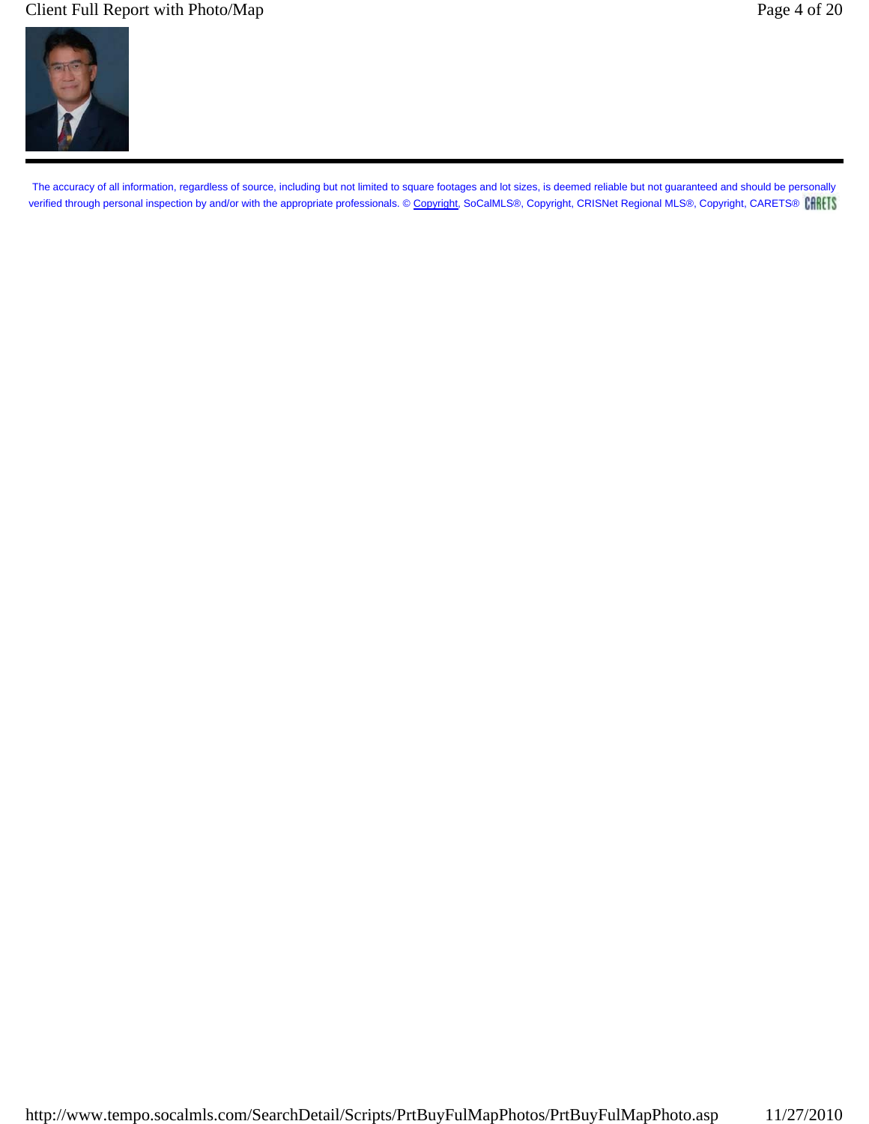## Client Full Report with Photo/Map Page 4 of 20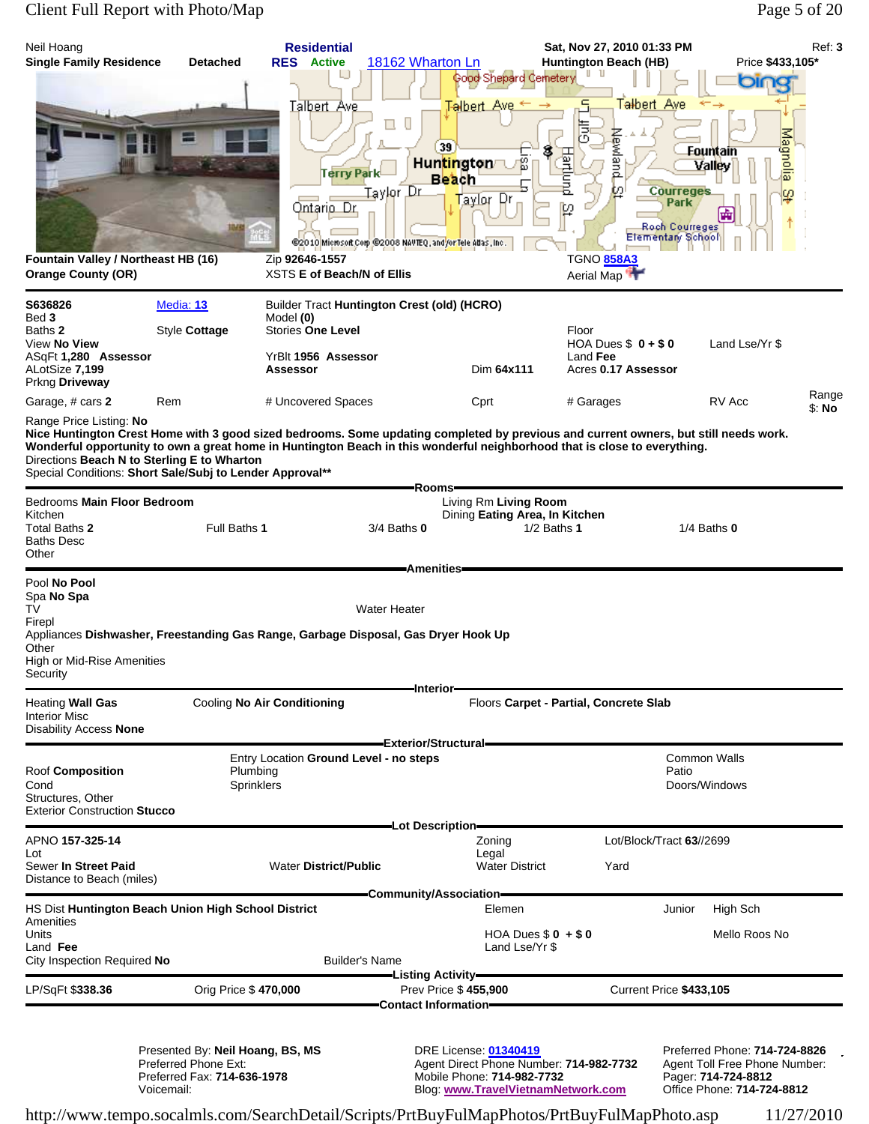## Client Full Report with Photo/Map Page 5 of 20

| Neil Hoang<br><b>Single Family Residence</b><br>Fountain Valley / Northeast HB (16)<br><b>Orange County (OR)</b>                                                                                                                                                                                                                                                                                                                              | <b>Detached</b>                                                                                       | <b>Residential</b><br><b>RES</b> Active<br><u>Talbert Ave</u><br><b>Terry Park</b><br>Ontario Dr.<br>Zip 92646-1557<br>XSTS E of Beach/N of Ellis | 18162 Wharton Ln<br>U<br>Щ<br>Taylor Dr<br>@2010 Microsoft Corp @2008 NAVTEQ, and for Tele Adas, Inc. | Good Shepard Cemetery<br>Talbert A<br>39<br>g<br>Huntington<br><b>Beach</b><br><u>Taylor</u> Dr                                                              | Sat, Nov 27, 2010 01:33 PM<br><b>Huntington Beach (HB)</b><br>T <del>al</del> bert Ave<br>ā<br>Newland<br>Hartlund<br>ωI<br>p<br><b>TGNO 858A3</b><br>Aerial Map | <b>Courreges</b><br>Park<br>Roch Courreges<br>Elementary School | Price \$433,105*<br>Magnolia<br><b>Fountain</b><br>Valley<br>φ                                                      | Ref: 3          |
|-----------------------------------------------------------------------------------------------------------------------------------------------------------------------------------------------------------------------------------------------------------------------------------------------------------------------------------------------------------------------------------------------------------------------------------------------|-------------------------------------------------------------------------------------------------------|---------------------------------------------------------------------------------------------------------------------------------------------------|-------------------------------------------------------------------------------------------------------|--------------------------------------------------------------------------------------------------------------------------------------------------------------|------------------------------------------------------------------------------------------------------------------------------------------------------------------|-----------------------------------------------------------------|---------------------------------------------------------------------------------------------------------------------|-----------------|
| S636826<br>Bed 3<br>Baths 2<br>View No View<br>ASqFt <b>1,280 Assessor</b><br>ALotSize 7,199                                                                                                                                                                                                                                                                                                                                                  | <b>Media: 13</b><br>Style Cottage                                                                     | Builder Tract Huntington Crest (old) (HCRO)<br>Model (0)<br><b>Stories One Level</b><br>YrBlt 1956 Assessor<br>Assessor                           |                                                                                                       | Dim 64x111                                                                                                                                                   | Floor<br>HOA Dues $$0 + $0$<br>Land Fee<br>Acres 0.17 Assessor                                                                                                   |                                                                 | Land Lse/Yr \$                                                                                                      |                 |
| Prkng Driveway<br>Garage, # cars 2<br>Range Price Listing: No<br>Nice Huntington Crest Home with 3 good sized bedrooms. Some updating completed by previous and current owners, but still needs work.<br>Wonderful opportunity to own a great home in Huntington Beach in this wonderful neighborhood that is close to everything.<br>Directions Beach N to Sterling E to Wharton<br>Special Conditions: Short Sale/Subj to Lender Approval** | Rem                                                                                                   | # Uncovered Spaces                                                                                                                                |                                                                                                       | Cprt                                                                                                                                                         | # Garages                                                                                                                                                        |                                                                 | RV Acc                                                                                                              | Range<br>\$: No |
| Bedrooms Main Floor Bedroom<br>Kitchen<br>Total Baths 2<br><b>Baths Desc</b><br>Other                                                                                                                                                                                                                                                                                                                                                         | Full Baths 1                                                                                          |                                                                                                                                                   | Rooms-<br>3/4 Baths 0                                                                                 | Living Rm Living Room<br>Dining Eating Area, In Kitchen                                                                                                      | $1/2$ Baths 1                                                                                                                                                    |                                                                 | $1/4$ Baths $0$                                                                                                     |                 |
| Pool No Pool<br>Spa No Spa<br>TV<br>Firepl<br>Appliances Dishwasher, Freestanding Gas Range, Garbage Disposal, Gas Dryer Hook Up<br>Other<br>High or Mid-Rise Amenities<br>Security                                                                                                                                                                                                                                                           |                                                                                                       |                                                                                                                                                   | <b>Amenities</b><br><b>Water Heater</b><br>-Interior-                                                 |                                                                                                                                                              |                                                                                                                                                                  |                                                                 |                                                                                                                     |                 |
| Heating Wall Gas<br>Interior Misc<br>Disability Access None                                                                                                                                                                                                                                                                                                                                                                                   |                                                                                                       | <b>Cooling No Air Conditioning</b>                                                                                                                | Exterior/Structural=                                                                                  |                                                                                                                                                              | Floors Carpet - Partial, Concrete Slab                                                                                                                           |                                                                 |                                                                                                                     |                 |
| Roof Composition<br>Cond<br>Structures, Other<br><b>Exterior Construction Stucco</b>                                                                                                                                                                                                                                                                                                                                                          | Plumbing<br>Sprinklers                                                                                | Entry Location Ground Level - no steps                                                                                                            |                                                                                                       |                                                                                                                                                              |                                                                                                                                                                  | Patio                                                           | Common Walls<br>Doors/Windows                                                                                       |                 |
| APNO 157-325-14                                                                                                                                                                                                                                                                                                                                                                                                                               |                                                                                                       |                                                                                                                                                   | -Lot Description-                                                                                     | Zoning                                                                                                                                                       | Lot/Block/Tract 63//2699                                                                                                                                         |                                                                 |                                                                                                                     |                 |
| Lot<br>Sewer In Street Paid<br>Distance to Beach (miles)                                                                                                                                                                                                                                                                                                                                                                                      |                                                                                                       | <b>Water District/Public</b>                                                                                                                      |                                                                                                       | Legal<br><b>Water District</b>                                                                                                                               | Yard                                                                                                                                                             |                                                                 |                                                                                                                     |                 |
| HS Dist Huntington Beach Union High School District                                                                                                                                                                                                                                                                                                                                                                                           |                                                                                                       |                                                                                                                                                   | -Community/Association-                                                                               | Elemen                                                                                                                                                       |                                                                                                                                                                  | Junior                                                          | High Sch                                                                                                            |                 |
| Amenities<br>Units<br>Land Fee<br>City Inspection Required No                                                                                                                                                                                                                                                                                                                                                                                 |                                                                                                       |                                                                                                                                                   | <b>Builder's Name</b>                                                                                 | HOA Dues $$0 + $0$<br>Land Lse/Yr \$                                                                                                                         |                                                                                                                                                                  |                                                                 | Mello Roos No                                                                                                       |                 |
| LP/SqFt \$338.36                                                                                                                                                                                                                                                                                                                                                                                                                              | Orig Price \$470,000                                                                                  |                                                                                                                                                   | -Listing Activity—                                                                                    | Prev Price \$455,900                                                                                                                                         |                                                                                                                                                                  | Current Price \$433,105                                         |                                                                                                                     |                 |
|                                                                                                                                                                                                                                                                                                                                                                                                                                               | Presented By: Neil Hoang, BS, MS<br>Preferred Phone Ext:<br>Preferred Fax: 714-636-1978<br>Voicemail: |                                                                                                                                                   |                                                                                                       | Contact Information-<br>DRE License: 01340419<br>Agent Direct Phone Number: 714-982-7732<br>Mobile Phone: 714-982-7732<br>Blog: www.TravelVietnamNetwork.com |                                                                                                                                                                  |                                                                 | Preferred Phone: 714-724-8826<br>Agent Toll Free Phone Number:<br>Pager: 714-724-8812<br>Office Phone: 714-724-8812 |                 |

http://www.tempo.socalmls.com/SearchDetail/Scripts/PrtBuyFulMapPhotos/PrtBuyFulMapPhoto.asp 11/27/2010

Preferred Fax: **714-636-1978** Mobile Phone: **714-982-7732** Pager: **714-724-8812**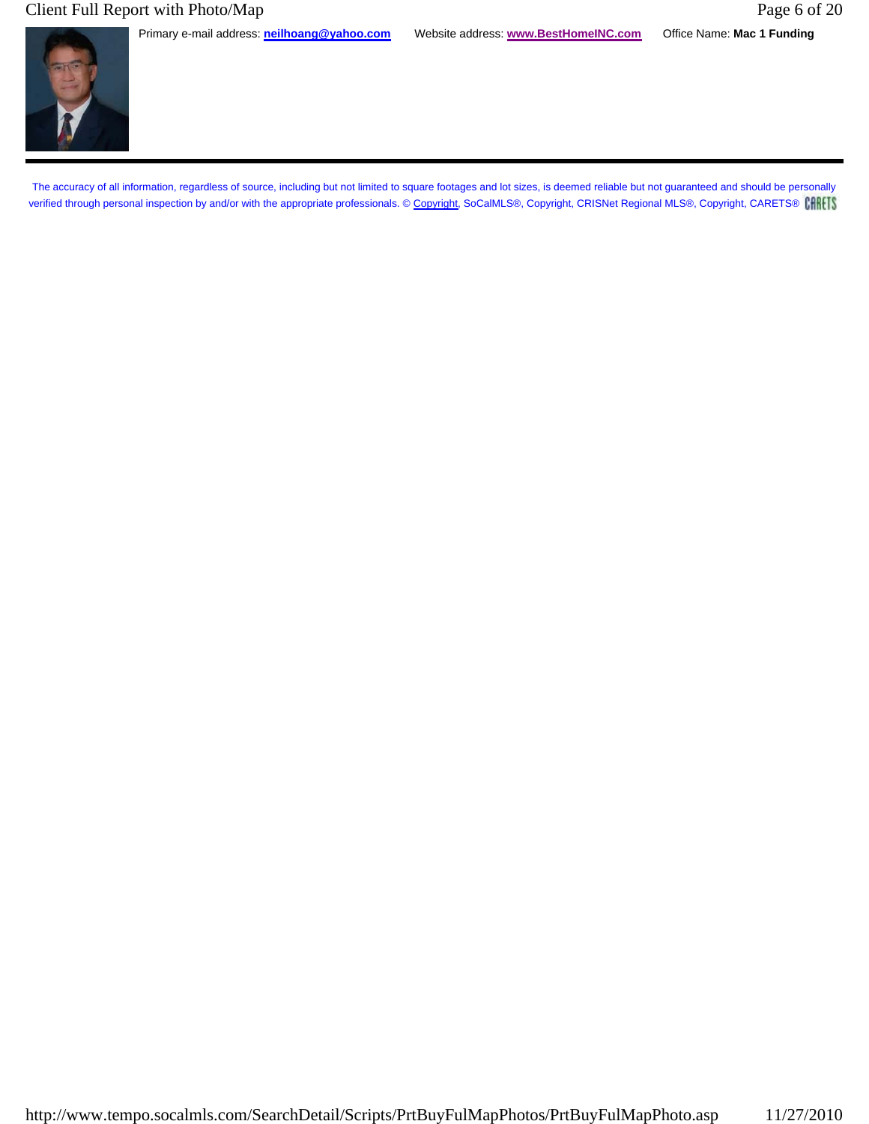## Client Full Report with Photo/Map Page 6 of 20

Primary e-mail address: **neilhoang@yahoo.com** Website address: **www.BestHomeINC.com** Office Name: **Mac 1 Funding**

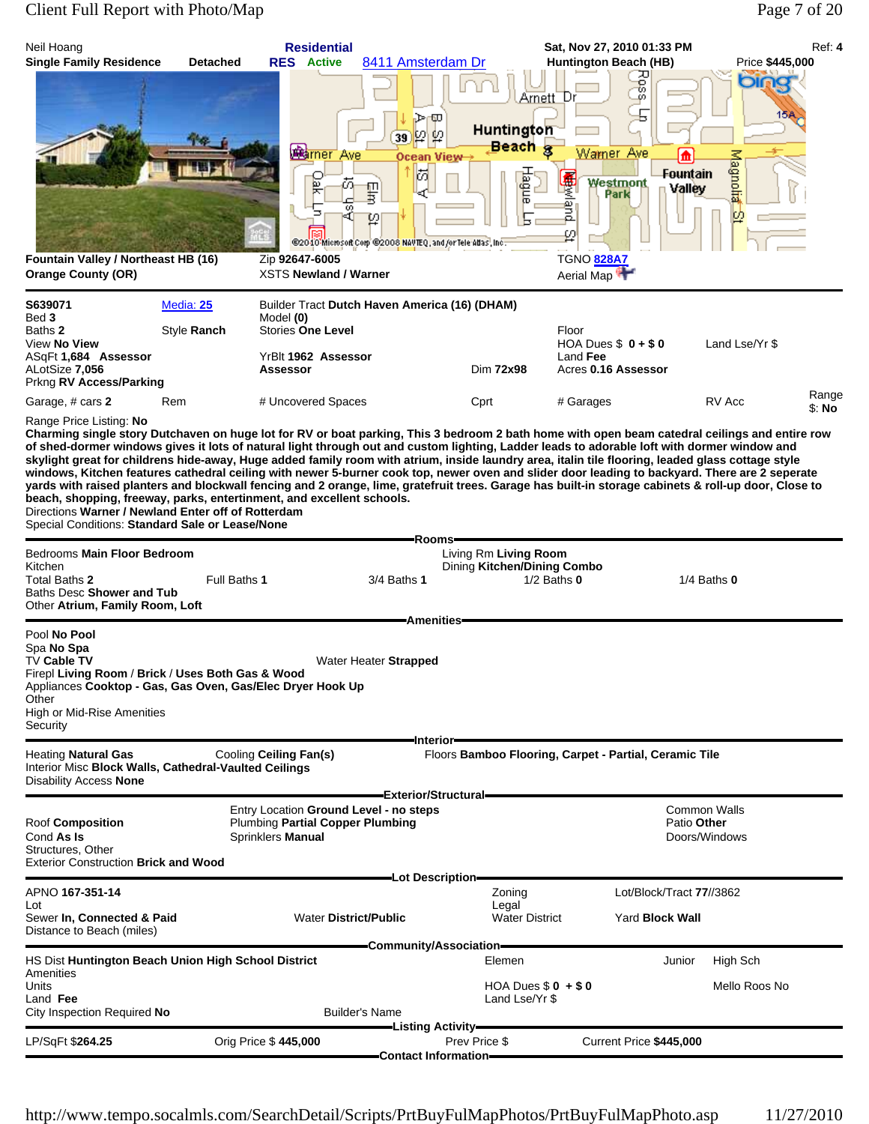# Client Full Report with Photo/Map Page 7 of 20

| Neil Hoang<br><b>Single Family Residence</b>                                                                                                                                                                                                                                                                                                                                                                                                                                                                                                                                                                                                                                                                                                                                                                                | <b>Detached</b>          | <b>Residential</b><br><b>RES</b> Active                                                                                          | 8411 Amsterdam Dr                                                                                                     |                                                    | Sat, Nov 27, 2010 01:33 PM<br><b>Huntington Beach (HB)</b>                 |                                                     | Price \$445,000              | Ref: 4          |
|-----------------------------------------------------------------------------------------------------------------------------------------------------------------------------------------------------------------------------------------------------------------------------------------------------------------------------------------------------------------------------------------------------------------------------------------------------------------------------------------------------------------------------------------------------------------------------------------------------------------------------------------------------------------------------------------------------------------------------------------------------------------------------------------------------------------------------|--------------------------|----------------------------------------------------------------------------------------------------------------------------------|-----------------------------------------------------------------------------------------------------------------------|----------------------------------------------------|----------------------------------------------------------------------------|-----------------------------------------------------|------------------------------|-----------------|
| Fountain Valley / Northeast HB (16)                                                                                                                                                                                                                                                                                                                                                                                                                                                                                                                                                                                                                                                                                                                                                                                         |                          | <b>Ramer</b> Ave<br>Ìак<br>Ò.<br>ω<br>кî<br>Zip 92647-6005                                                                       | ा⊅≺ा<br>$\varphi p$<br>39<br>Ocean View⊣<br>岗<br>팧<br>₽<br>@2040 Microsoft Corp @2008 NAVTEQ, and /or Tele Adas, Inc. | Arnett_Dr<br>Huntington<br><b>Beach</b> g<br>Hague | Ross<br>Warner Ave<br>悪<br>Westmont<br>Park<br>e<br>Dug<br>ω<br>TGNO 828A7 | ⋔<br>Fountain<br>Valley                             | olfi<br>15A<br>Magnota<br>ΙO |                 |
| <b>Orange County (OR)</b>                                                                                                                                                                                                                                                                                                                                                                                                                                                                                                                                                                                                                                                                                                                                                                                                   |                          | <b>XSTS Newland / Warner</b>                                                                                                     |                                                                                                                       |                                                    | Aerial Map                                                                 |                                                     |                              |                 |
| S639071<br>Bed 3<br>Baths 2<br>View No View<br>ASqFt 1,684 Assessor<br>ALotSize 7,056<br>Prkng RV Access/Parking                                                                                                                                                                                                                                                                                                                                                                                                                                                                                                                                                                                                                                                                                                            | Media: 25<br>Style Ranch | Builder Tract Dutch Haven America (16) (DHAM)<br>Model (0)<br><b>Stories One Level</b><br>YrBlt 1962 Assessor<br><b>Assessor</b> |                                                                                                                       | Dim 72x98                                          | Floor<br>HOA Dues $$0 + $0$<br>Land Fee<br>Acres 0.16 Assessor             |                                                     | Land Lse/Yr \$               |                 |
| Garage, # cars 2                                                                                                                                                                                                                                                                                                                                                                                                                                                                                                                                                                                                                                                                                                                                                                                                            | Rem                      | # Uncovered Spaces                                                                                                               |                                                                                                                       | Cprt                                               | # Garages                                                                  |                                                     | RV Acc                       | Range<br>\$: No |
| of shed-dormer windows gives it lots of natural light through out and custom lighting, Ladder leads to adorable loft with dormer window and<br>skylight great for childrens hide-away, Huge added family room with atrium, inside laundry area, italin tile flooring, leaded glass cottage style<br>windows, Kitchen features cathedral ceiling with newer 5-burner cook top, newer oven and slider door leading to backyard. There are 2 seperate<br>yards with raised planters and blockwall fencing and 2 orange, lime, gratefruit trees. Garage has built-in storage cabinets & roll-up door, Close to<br>beach, shopping, freeway, parks, entertinment, and excellent schools.<br>Directions Warner / Newland Enter off of Rotterdam<br>Special Conditions: Standard Sale or Lease/None<br>Bedrooms Main Floor Bedroom |                          |                                                                                                                                  | Rooms-                                                                                                                | Living Rm Living Room                              |                                                                            |                                                     |                              |                 |
| Kitchen<br>Total Baths 2<br>Baths Desc Shower and Tub<br>Other Atrium, Family Room, Loft                                                                                                                                                                                                                                                                                                                                                                                                                                                                                                                                                                                                                                                                                                                                    | Full Baths 1             |                                                                                                                                  | 3/4 Baths 1<br><b>Amenities</b>                                                                                       | Dining Kitchen/Dining Combo                        | $1/2$ Baths $0$                                                            | $1/4$ Baths $0$                                     |                              |                 |
| Pool No Pool<br>Spa No Spa<br>TV Cable TV<br>Firepl Living Room / Brick / Uses Both Gas & Wood<br>Appliances Cooktop - Gas, Gas Oven, Gas/Elec Dryer Hook Up<br>Other<br>High or Mid-Rise Amenities<br>Security                                                                                                                                                                                                                                                                                                                                                                                                                                                                                                                                                                                                             |                          |                                                                                                                                  | Water Heater Strapped                                                                                                 |                                                    |                                                                            |                                                     |                              |                 |
| <b>Heating Natural Gas</b><br>Interior Misc Block Walls, Cathedral-Vaulted Ceilings<br><b>Disability Access None</b>                                                                                                                                                                                                                                                                                                                                                                                                                                                                                                                                                                                                                                                                                                        |                          | Cooling Ceiling Fan(s)                                                                                                           | -Interior-                                                                                                            |                                                    | Floors Bamboo Flooring, Carpet - Partial, Ceramic Tile                     |                                                     |                              |                 |
| <b>Roof Composition</b><br>Cond As Is<br>Structures, Other<br><b>Exterior Construction Brick and Wood</b>                                                                                                                                                                                                                                                                                                                                                                                                                                                                                                                                                                                                                                                                                                                   |                          | Entry Location Ground Level - no steps<br><b>Plumbing Partial Copper Plumbing</b><br>Sprinklers Manual                           | Exterior/Structural=                                                                                                  |                                                    |                                                                            | <b>Common Walls</b><br>Patio Other<br>Doors/Windows |                              |                 |
| APNO 167-351-14<br>Lot<br>Sewer In, Connected & Paid<br>Distance to Beach (miles)                                                                                                                                                                                                                                                                                                                                                                                                                                                                                                                                                                                                                                                                                                                                           |                          | <b>Water District/Public</b>                                                                                                     | =Lot Description=                                                                                                     | Zoning<br>Legal<br><b>Water District</b>           |                                                                            | Lot/Block/Tract 77//3862<br>Yard Block Wall         |                              |                 |
| HS Dist Huntington Beach Union High School District                                                                                                                                                                                                                                                                                                                                                                                                                                                                                                                                                                                                                                                                                                                                                                         |                          |                                                                                                                                  | -Community/Association=                                                                                               | Elemen                                             |                                                                            | Junior                                              | High Sch                     |                 |
| Amenities<br>Units<br>Land Fee<br>City Inspection Required No                                                                                                                                                                                                                                                                                                                                                                                                                                                                                                                                                                                                                                                                                                                                                               |                          | Builder's Name                                                                                                                   |                                                                                                                       | HOA Dues $$0 + $0$<br>Land Lse/Yr \$               |                                                                            |                                                     | Mello Roos No                |                 |
| LP/SqFt \$264.25                                                                                                                                                                                                                                                                                                                                                                                                                                                                                                                                                                                                                                                                                                                                                                                                            |                          | Orig Price \$445,000                                                                                                             | -Listing Activity—                                                                                                    | Prev Price \$                                      | Current Price \$445,000                                                    |                                                     |                              |                 |
|                                                                                                                                                                                                                                                                                                                                                                                                                                                                                                                                                                                                                                                                                                                                                                                                                             |                          |                                                                                                                                  | <b>Contact Information-</b>                                                                                           |                                                    |                                                                            |                                                     |                              |                 |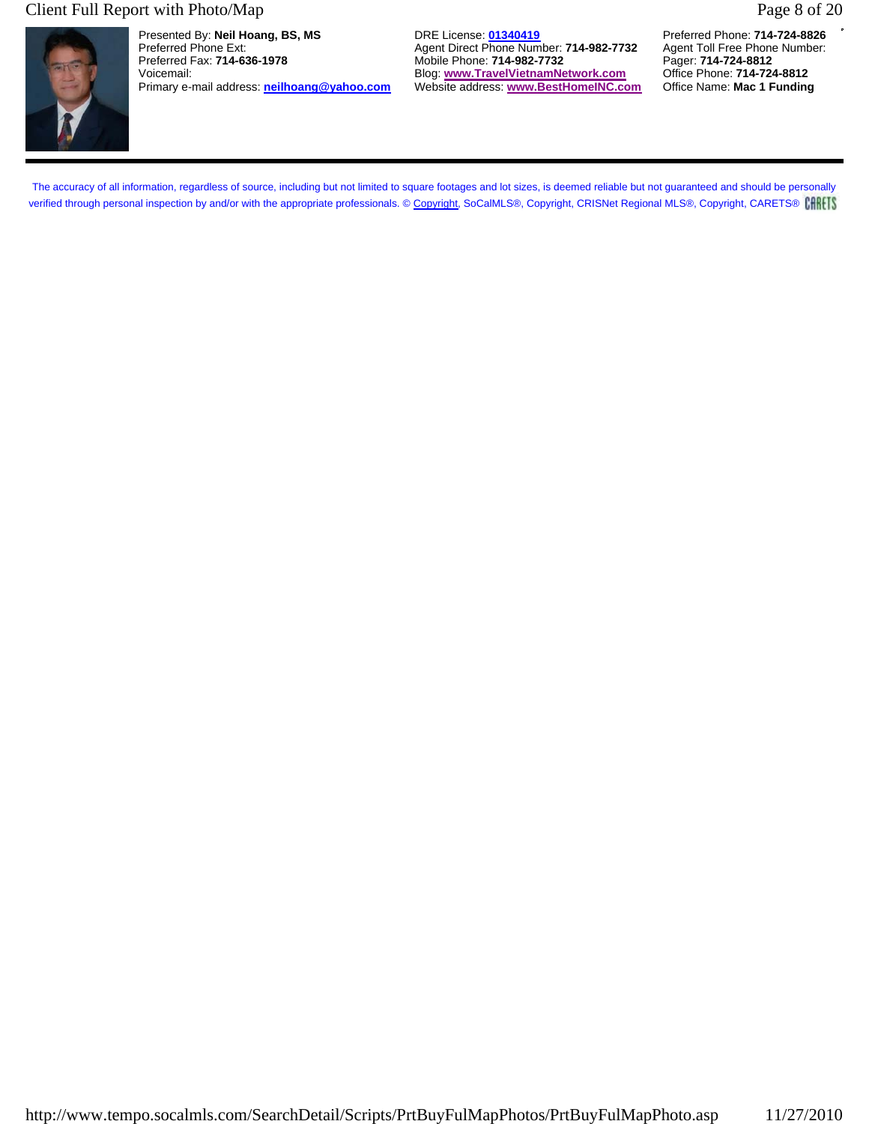#### Client Full Report with Photo/Map Page 8 of 20



Presented By: **Neil Hoang, BS, MS** DRE License: **01340419** Preferred Phone: **714-724-8826** Preferred Phone Ext: **Agent Direct Phone Number: 714-982-7732** Agent Toll Free Phone Number: **Preferred Fax: 714-636-1978** Agent Toll Free Phone Number: **Preferred Fax: 714-636-1978** Agent: **714-982-7732** Agent: **714-724-8** Primary e-mail address: **neilhoang@yahoo.com** 

Mobile Phone: **714-982-7732** Pager: **714-724-8812**<br>Blog: www.TravelVietnamNetwork.com Office Phone: 714-724-8812 Voicemail: Blog: **www.TravelVietnamNetwork.com** Office Phone: **714-724-8812**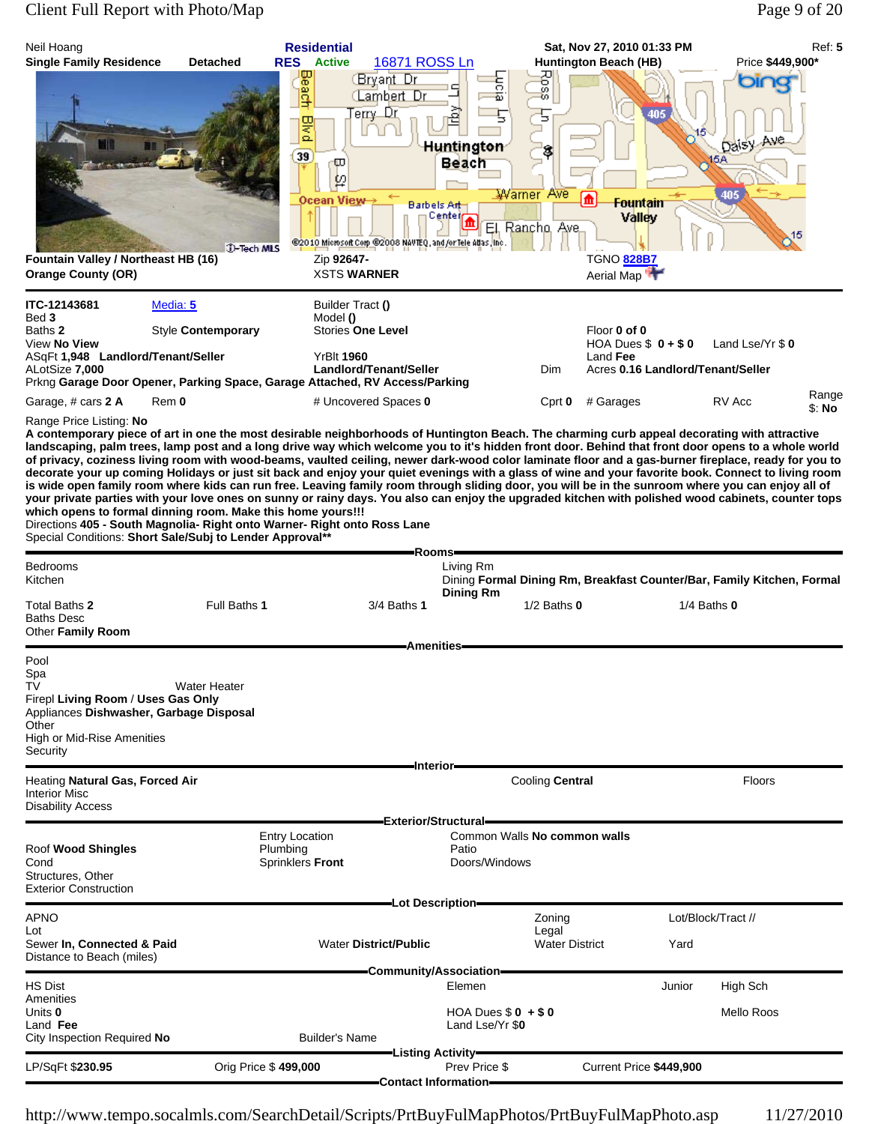# Client Full Report with Photo/Map Page 9 of 20

| Neil Hoang                                                                                                                                    |                                                                                                                         | <b>Residential</b>                                                                                                                                                                                                                                                                                                                                                                                                                                                                                                                                                                                                                                                                                                                                                                                                                                       |                                                      | Sat, Nov 27, 2010 01:33 PM     |                                   | Ref: 5                                                                 |
|-----------------------------------------------------------------------------------------------------------------------------------------------|-------------------------------------------------------------------------------------------------------------------------|----------------------------------------------------------------------------------------------------------------------------------------------------------------------------------------------------------------------------------------------------------------------------------------------------------------------------------------------------------------------------------------------------------------------------------------------------------------------------------------------------------------------------------------------------------------------------------------------------------------------------------------------------------------------------------------------------------------------------------------------------------------------------------------------------------------------------------------------------------|------------------------------------------------------|--------------------------------|-----------------------------------|------------------------------------------------------------------------|
| <b>Single Family Residence</b>                                                                                                                | <b>Detached</b>                                                                                                         | 16871 ROSS Ln<br><b>RES</b><br><b>Active</b><br>Beach<br>Bryant Dr<br><b>Lambert</b> Dr<br>erry Dr                                                                                                                                                                                                                                                                                                                                                                                                                                                                                                                                                                                                                                                                                                                                                       | <b>Fuor</b> a                                        | Huntington Beach (HB)<br>Poss  | 405                               | Price \$449,900*<br>bir                                                |
|                                                                                                                                               |                                                                                                                         | las<br>Isd<br>39<br>φ<br>₽                                                                                                                                                                                                                                                                                                                                                                                                                                                                                                                                                                                                                                                                                                                                                                                                                               | Ь<br><b>Huntington</b><br><b>Beach</b><br>Warner Ave | Ь                              |                                   | Daisy Ave<br>15A<br>405                                                |
|                                                                                                                                               | J-Tech MLS                                                                                                              | Ocean View<br>@2010 Microsoft Corp @2008 NAVTEQ, and/or Tele Atlas, Inc.                                                                                                                                                                                                                                                                                                                                                                                                                                                                                                                                                                                                                                                                                                                                                                                 | Barbels Art<br>Center<br>日 Rancho, Ave.              | 盃<br>Valley                    | <b>Fountain</b>                   |                                                                        |
| Fountain Valley / Northeast HB (16)<br><b>Orange County (OR)</b>                                                                              |                                                                                                                         | Zip 92647-<br><b>XSTS WARNER</b>                                                                                                                                                                                                                                                                                                                                                                                                                                                                                                                                                                                                                                                                                                                                                                                                                         |                                                      | TGNO 828B7<br>Aerial Map       |                                   |                                                                        |
| ITC-12143681<br>Bed 3                                                                                                                         | Media: 5                                                                                                                | Builder Tract ()<br>Model ()                                                                                                                                                                                                                                                                                                                                                                                                                                                                                                                                                                                                                                                                                                                                                                                                                             |                                                      |                                |                                   |                                                                        |
| Baths 2<br>View No View                                                                                                                       | Style Contemporary                                                                                                      | Stories One Level                                                                                                                                                                                                                                                                                                                                                                                                                                                                                                                                                                                                                                                                                                                                                                                                                                        |                                                      | Floor 0 of 0                   | HOA Dues $$0 + $0$                | Land Lse/Yr \$0                                                        |
| ASqFt 1,948 Landlord/Tenant/Seller<br>ALotSize 7,000                                                                                          |                                                                                                                         | <b>YrBIt 1960</b><br>Landlord/Tenant/Seller<br>Prkng Garage Door Opener, Parking Space, Garage Attached, RV Access/Parking                                                                                                                                                                                                                                                                                                                                                                                                                                                                                                                                                                                                                                                                                                                               |                                                      | Land Fee<br>Dim                | Acres 0.16 Landlord/Tenant/Seller |                                                                        |
| Garage, # cars 2 A                                                                                                                            | Rem 0                                                                                                                   | # Uncovered Spaces 0                                                                                                                                                                                                                                                                                                                                                                                                                                                                                                                                                                                                                                                                                                                                                                                                                                     |                                                      | # Garages<br>Cprt 0            |                                   | Range<br>RV Acc<br>\$: No                                              |
|                                                                                                                                               | which opens to formal dinning room. Make this home yours!!!<br>Special Conditions: Short Sale/Subj to Lender Approval** | landscaping, palm trees, lamp post and a long drive way which welcome you to it's hidden front door. Behind that front door opens to a whole world<br>of privacy, coziness living room with wood-beams, vaulted ceiling, newer dark-wood color laminate floor and a gas-burner fireplace, ready for you to<br>decorate your up coming Holidays or just sit back and enjoy your quiet evenings with a glass of wine and your favorite book. Connect to living room<br>is wide open family room where kids can run free. Leaving family room through sliding door, you will be in the sunroom where you can enjoy all of<br>your private parties with your love ones on sunny or rainy days. You also can enjoy the upgraded kitchen with polished wood cabinets, counter tops<br>Directions 405 - South Magnolia- Right onto Warner- Right onto Ross Lane | -Rooms-                                              |                                |                                   |                                                                        |
| Bedrooms                                                                                                                                      |                                                                                                                         |                                                                                                                                                                                                                                                                                                                                                                                                                                                                                                                                                                                                                                                                                                                                                                                                                                                          | Living Rm                                            |                                |                                   |                                                                        |
| Kitchen                                                                                                                                       |                                                                                                                         |                                                                                                                                                                                                                                                                                                                                                                                                                                                                                                                                                                                                                                                                                                                                                                                                                                                          | <b>Dining Rm</b>                                     |                                |                                   | Dining Formal Dining Rm, Breakfast Counter/Bar, Family Kitchen, Formal |
| Total Baths 2<br><b>Baths Desc</b><br>Other Family Room                                                                                       | Full Baths 1                                                                                                            | 3/4 Baths 1                                                                                                                                                                                                                                                                                                                                                                                                                                                                                                                                                                                                                                                                                                                                                                                                                                              |                                                      | $1/2$ Baths $0$                | $1/4$ Baths $0$                   |                                                                        |
| Pool                                                                                                                                          |                                                                                                                         | <b>Amenities</b>                                                                                                                                                                                                                                                                                                                                                                                                                                                                                                                                                                                                                                                                                                                                                                                                                                         |                                                      |                                |                                   |                                                                        |
| Spa<br>ΤV<br>Firepl Living Room / Uses Gas Only<br>Appliances Dishwasher, Garbage Disposal<br>Other<br>High or Mid-Rise Amenities<br>Security | <b>Water Heater</b>                                                                                                     |                                                                                                                                                                                                                                                                                                                                                                                                                                                                                                                                                                                                                                                                                                                                                                                                                                                          |                                                      |                                |                                   |                                                                        |
| Heating Natural Gas, Forced Air                                                                                                               |                                                                                                                         | -Interior-                                                                                                                                                                                                                                                                                                                                                                                                                                                                                                                                                                                                                                                                                                                                                                                                                                               |                                                      | Cooling Central                |                                   | Floors                                                                 |
| <b>Interior Misc</b><br><b>Disability Access</b>                                                                                              |                                                                                                                         |                                                                                                                                                                                                                                                                                                                                                                                                                                                                                                                                                                                                                                                                                                                                                                                                                                                          |                                                      |                                |                                   |                                                                        |
|                                                                                                                                               |                                                                                                                         | <b>Exterior/Structural</b><br><b>Entry Location</b>                                                                                                                                                                                                                                                                                                                                                                                                                                                                                                                                                                                                                                                                                                                                                                                                      |                                                      | Common Walls No common walls   |                                   |                                                                        |
| Roof Wood Shingles<br>Cond<br>Structures, Other<br><b>Exterior Construction</b>                                                               |                                                                                                                         | Plumbing<br>Sprinklers Front                                                                                                                                                                                                                                                                                                                                                                                                                                                                                                                                                                                                                                                                                                                                                                                                                             | Patio<br>Doors/Windows                               |                                |                                   |                                                                        |
| APNO                                                                                                                                          |                                                                                                                         |                                                                                                                                                                                                                                                                                                                                                                                                                                                                                                                                                                                                                                                                                                                                                                                                                                                          | Lot Description=                                     | Zoning                         | Lot/Block/Tract //                |                                                                        |
| Lot<br>Sewer In, Connected & Paid<br>Distance to Beach (miles)                                                                                |                                                                                                                         | <b>Water District/Public</b>                                                                                                                                                                                                                                                                                                                                                                                                                                                                                                                                                                                                                                                                                                                                                                                                                             |                                                      | Legal<br><b>Water District</b> | Yard                              |                                                                        |
|                                                                                                                                               |                                                                                                                         | -Community/Association-                                                                                                                                                                                                                                                                                                                                                                                                                                                                                                                                                                                                                                                                                                                                                                                                                                  |                                                      |                                |                                   |                                                                        |
| HS Dist<br>Amenities                                                                                                                          |                                                                                                                         |                                                                                                                                                                                                                                                                                                                                                                                                                                                                                                                                                                                                                                                                                                                                                                                                                                                          | Elemen                                               |                                | Junior                            | High Sch                                                               |
| Units 0<br>Land Fee<br>City Inspection Required No                                                                                            |                                                                                                                         | <b>Builder's Name</b>                                                                                                                                                                                                                                                                                                                                                                                                                                                                                                                                                                                                                                                                                                                                                                                                                                    | HOA Dues $$0 + $0$<br>Land Lse/Yr \$0                |                                |                                   | Mello Roos                                                             |
| LP/SqFt \$230.95                                                                                                                              | Orig Price \$499,000                                                                                                    |                                                                                                                                                                                                                                                                                                                                                                                                                                                                                                                                                                                                                                                                                                                                                                                                                                                          | -Listing Activity-<br>Prev Price \$                  |                                | Current Price \$449,900           |                                                                        |
|                                                                                                                                               |                                                                                                                         |                                                                                                                                                                                                                                                                                                                                                                                                                                                                                                                                                                                                                                                                                                                                                                                                                                                          | <b>Contact Information-</b>                          |                                |                                   |                                                                        |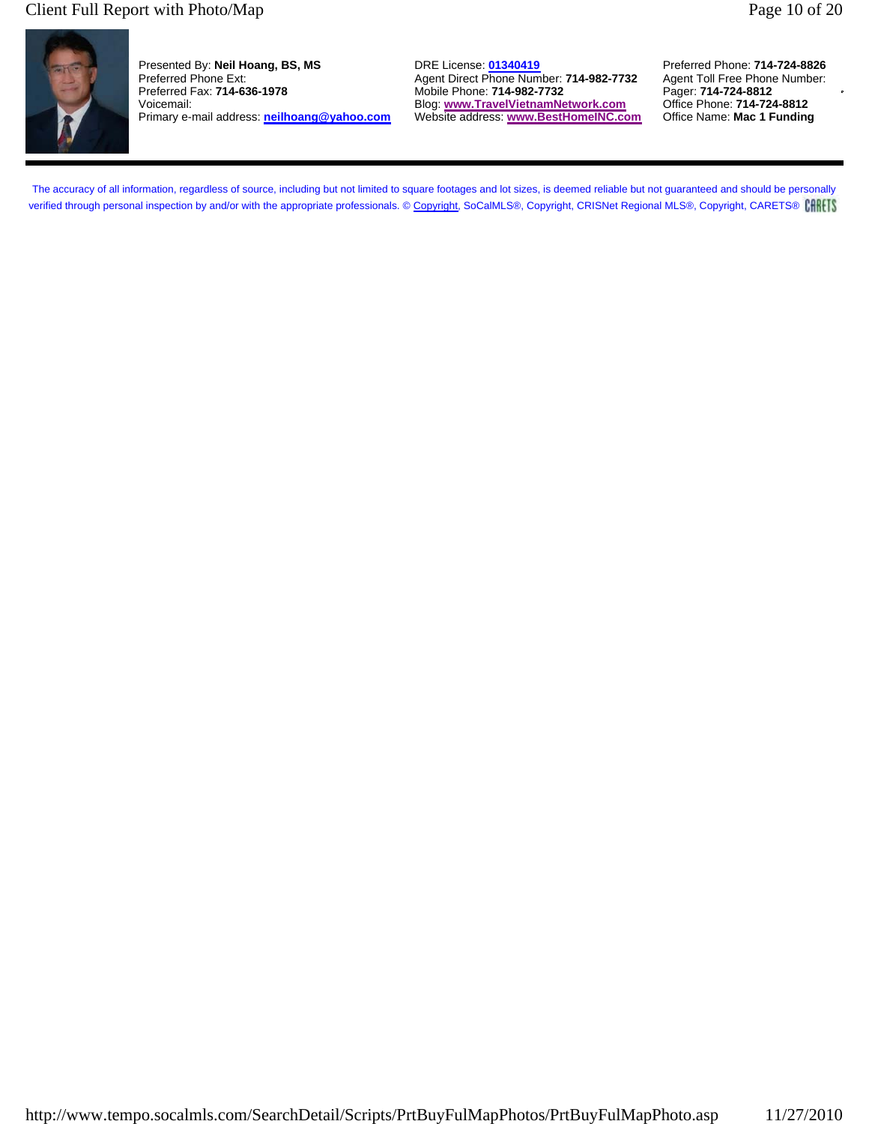#### Client Full Report with Photo/Map Page 10 of 20

Presented By: **Neil Hoang, BS, MS** DRE License: **01340419** Preferred Phone: **714-724-8826** Preferred Phone Ext: Agent Direct Phone Number: **714-982-7732** Agent Toll Free Phone<br>Preferred Fax: **714-636-1978** Mobile Phone: **714-982-7732** Pager: **714-724-8812** Voicemail: Blog: **www.TravelVietnamNetwork.com** Office Phone: **714-724-8812** Primary e-mail address: **neilhoang@yahoo.com** 

Preferred Fax: **714-636-1978** Mobile Phone: **714-982-7732** Pager: **714-724-8812**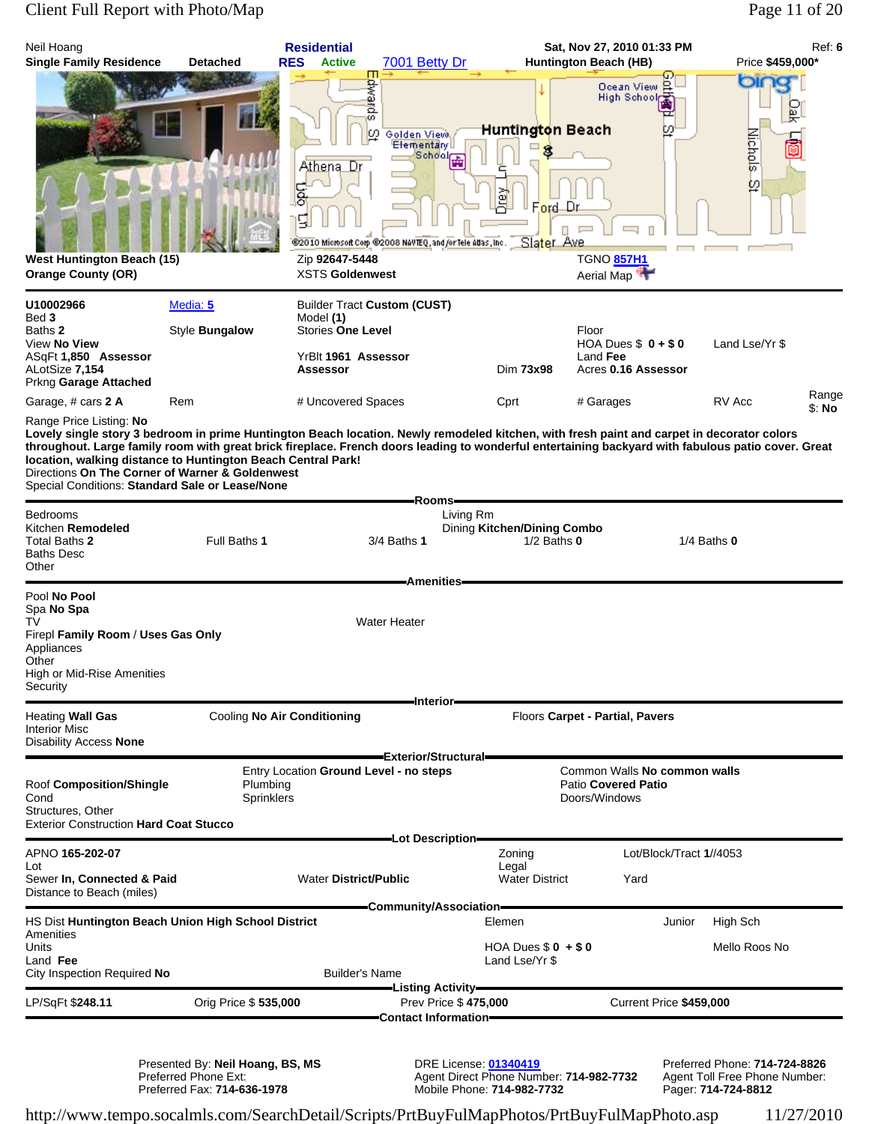## Client Full Report with Photo/Map Page 11 of 20

| Neil Hoang<br><b>Single Family Residence</b>                                                                                                                                                                                                                                                                                                                                                                                                                                                      | <b>Detached</b>                   | <b>Residential</b><br><b>RES</b><br><b>Active</b>                                                                     | 7001 Betty Dr                                                                                                                 |                                                | Sat, Nov 27, 2010 01:33 PM<br>Huntington Beach (HB)                  | Ref: 6<br>Price \$459,000* |
|---------------------------------------------------------------------------------------------------------------------------------------------------------------------------------------------------------------------------------------------------------------------------------------------------------------------------------------------------------------------------------------------------------------------------------------------------------------------------------------------------|-----------------------------------|-----------------------------------------------------------------------------------------------------------------------|-------------------------------------------------------------------------------------------------------------------------------|------------------------------------------------|----------------------------------------------------------------------|----------------------------|
| <b>West Huntington Beach (15)</b><br><b>Orange County (OR)</b>                                                                                                                                                                                                                                                                                                                                                                                                                                    |                                   | Edwards<br>LΩ.<br>Athena Dr<br>동<br>9<br>Zip 92647-5448<br><b>XSTS Goldenwest</b>                                     | Golden View,<br><b>Elementary</b> U<br><b>School</b><br>@2010 Microsoft Corp @2008 NAVTEQ, and for Tele Adas, Inc. Slater Ave | Huntington Beach<br>ğ<br>Ford Dr               | Ocean View<br>High School<br><b>TGNO 857H1</b><br>Aerial Map         | or<br>р<br>lichols<br>Ø.   |
| U10002966<br>Bed 3<br>Baths 2<br>View No View<br>ASqFt 1,850 Assessor<br>ALotSize 7,154                                                                                                                                                                                                                                                                                                                                                                                                           | Media: 5<br>Style <b>Bungalow</b> | <b>Builder Tract Custom (CUST)</b><br>Model (1)<br><b>Stories One Level</b><br>YrBlt 1961 Assessor<br><b>Assessor</b> |                                                                                                                               | Dim 73x98                                      | Floor<br>HOA Dues $$0 + $0$<br>Land Fee<br>Acres 0.16 Assessor       | Land Lse/Yr \$             |
| Prkng Garage Attached<br>Garage, # cars 2 A                                                                                                                                                                                                                                                                                                                                                                                                                                                       | Rem                               | # Uncovered Spaces                                                                                                    |                                                                                                                               | Cprt                                           | # Garages                                                            | Range<br>RV Acc<br>\$: No  |
| Range Price Listing: No<br>Lovely single story 3 bedroom in prime Huntington Beach location. Newly remodeled kitchen, with fresh paint and carpet in decorator colors<br>throughout. Large family room with great brick fireplace. French doors leading to wonderful entertaining backyard with fabulous patio cover. Great<br>location, walking distance to Huntington Beach Central Park!<br>Directions On The Corner of Warner & Goldenwest<br>Special Conditions: Standard Sale or Lease/None |                                   |                                                                                                                       |                                                                                                                               |                                                |                                                                      |                            |
| Bedrooms<br>Kitchen Remodeled<br>Total Baths 2<br>Baths Desc<br>Other                                                                                                                                                                                                                                                                                                                                                                                                                             | Full Baths 1                      |                                                                                                                       | -Rooms-<br>Living Rm<br>3/4 Baths <b>1</b>                                                                                    | Dining Kitchen/Dining Combo<br>$1/2$ Baths $0$ |                                                                      | $1/4$ Baths $0$            |
| Pool No Pool<br>Spa No Spa<br>TV<br>Firepl Family Room / Uses Gas Only<br>Appliances<br>Other<br>High or Mid-Rise Amenities<br>Security                                                                                                                                                                                                                                                                                                                                                           |                                   |                                                                                                                       | <b>Amenities</b><br><b>Water Heater</b><br><b>Interior</b>                                                                    |                                                |                                                                      |                            |
| Heating Wall Gas<br><b>Interior Misc</b><br><b>Disability Access None</b>                                                                                                                                                                                                                                                                                                                                                                                                                         | Cooling No Air Conditioning       |                                                                                                                       | Exterior/Structural=                                                                                                          |                                                | Floors Carpet - Partial, Pavers                                      |                            |
| Roof Composition/Shingle<br>Cond<br>Structures, Other<br><b>Exterior Construction Hard Coat Stucco</b>                                                                                                                                                                                                                                                                                                                                                                                            | Plumbing<br>Sprinklers            | Entry Location Ground Level - no steps                                                                                |                                                                                                                               |                                                | Common Walls No common walls<br>Patio Covered Patio<br>Doors/Windows |                            |
| APNO 165-202-07                                                                                                                                                                                                                                                                                                                                                                                                                                                                                   |                                   |                                                                                                                       | -Lot Description-                                                                                                             | Zoning                                         | Lot/Block/Tract 1//4053                                              |                            |
| Lot<br>Sewer In, Connected & Paid<br>Distance to Beach (miles)                                                                                                                                                                                                                                                                                                                                                                                                                                    |                                   | <b>Water District/Public</b>                                                                                          |                                                                                                                               | Legal<br><b>Water District</b>                 | Yard                                                                 |                            |
| HS Dist Huntington Beach Union High School District                                                                                                                                                                                                                                                                                                                                                                                                                                               |                                   |                                                                                                                       | =Community/Association=                                                                                                       | Elemen                                         | Junior                                                               | High Sch                   |
| Amenities<br>Units<br>Land Fee<br>City Inspection Required No                                                                                                                                                                                                                                                                                                                                                                                                                                     |                                   | <b>Builder's Name</b>                                                                                                 |                                                                                                                               | HOA Dues $$0 + $0$<br>Land Lse/Yr \$           |                                                                      | Mello Roos No              |
| LP/SqFt \$248.11                                                                                                                                                                                                                                                                                                                                                                                                                                                                                  | Orig Price \$535,000              |                                                                                                                       | Prev Price \$475,000                                                                                                          |                                                | Current Price \$459,000                                              |                            |
|                                                                                                                                                                                                                                                                                                                                                                                                                                                                                                   |                                   |                                                                                                                       | Contact Information-                                                                                                          |                                                |                                                                      |                            |

Presented By: **Neil Hoang, BS, MS** DRE License: **01340419** Preferred Phone: **714-724-8826** Preferred Phone Ext: Agent Direct Phone Number: **714-982-7732** Agent Toll Free Phone Number: Preferred Fax: **714-636-1978** Mobile Phone: **714-982-7732** Pager: **714-724-8812**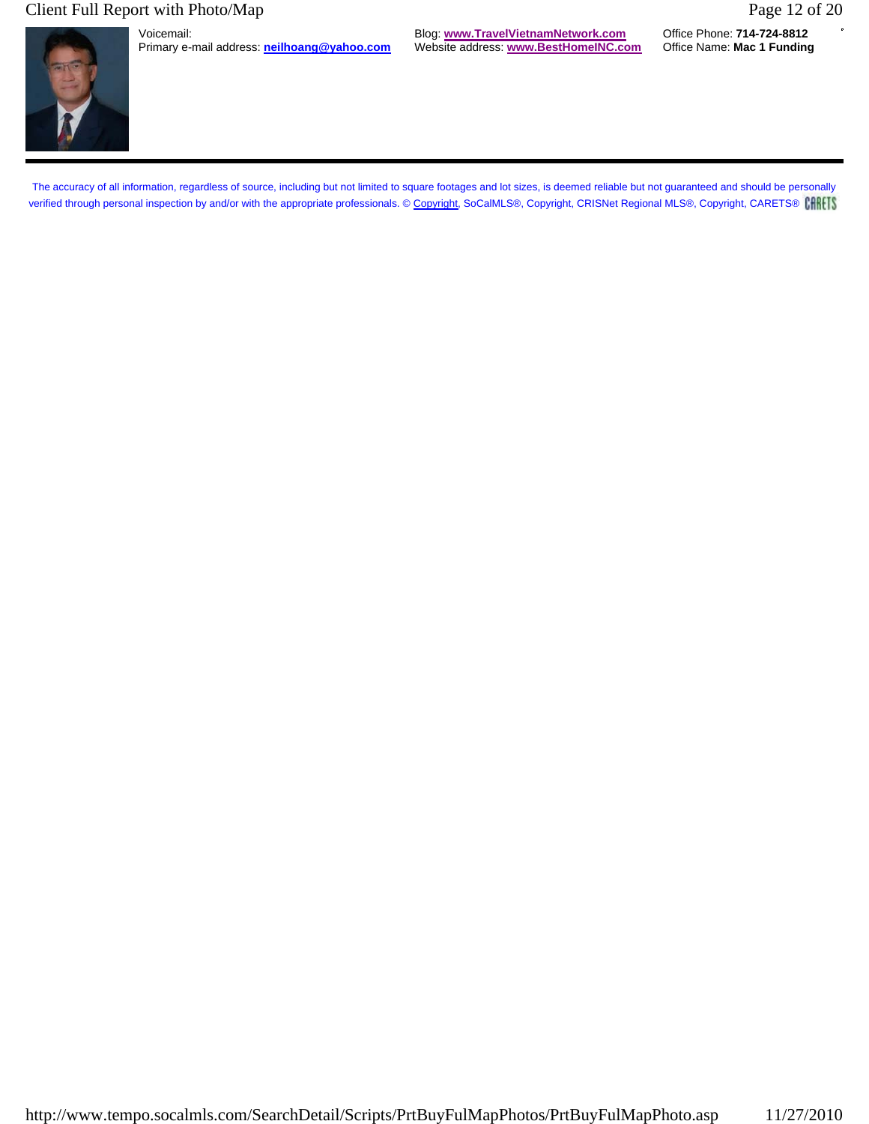## Client Full Report with Photo/Map Page 12 of 20



Primary e-mail address: **neilhoang@yahoo.com** 

Voicemail: Blog: **www.TravelVietnamNetwork.com** Office Phone: **714-724-8812**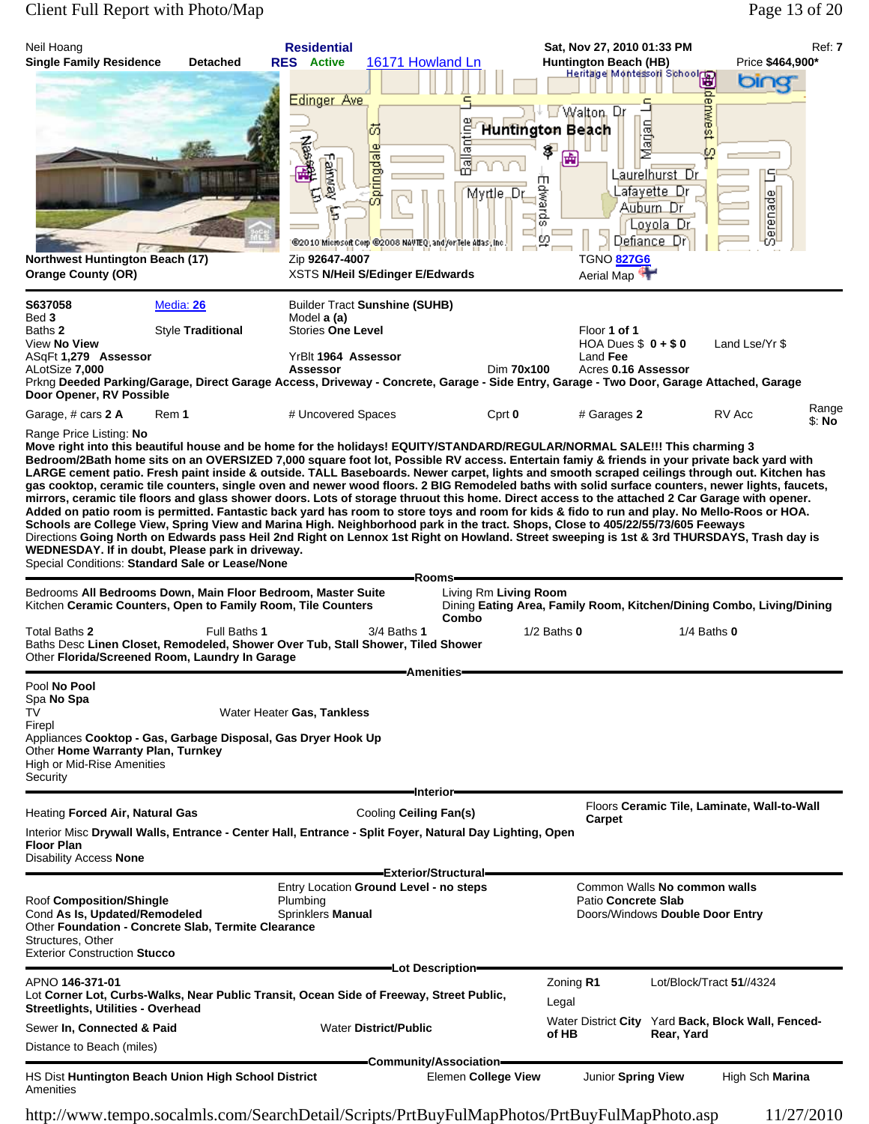# Client Full Report with Photo/Map Page 13 of 20

| Neil Hoang<br><b>Single Family Residence</b>                                                                                                                                                                                                                                                                                                                                                                                                                                                                                                                                                                                                                                                                                                                                                                                                                                                                                                                                                                                                                                                                                                                                                               | <b>Detached</b>   | <b>Residential</b><br><b>RES</b> Active<br>16171 Howland Ln                                                                                                                      |                                               | Sat, Nov 27, 2010 01:33 PM<br><b>Huntington Beach (HB)</b>                                                                                                  |                                                                                                   | Ref: 7<br>Price \$464,900*                                           |
|------------------------------------------------------------------------------------------------------------------------------------------------------------------------------------------------------------------------------------------------------------------------------------------------------------------------------------------------------------------------------------------------------------------------------------------------------------------------------------------------------------------------------------------------------------------------------------------------------------------------------------------------------------------------------------------------------------------------------------------------------------------------------------------------------------------------------------------------------------------------------------------------------------------------------------------------------------------------------------------------------------------------------------------------------------------------------------------------------------------------------------------------------------------------------------------------------------|-------------------|----------------------------------------------------------------------------------------------------------------------------------------------------------------------------------|-----------------------------------------------|-------------------------------------------------------------------------------------------------------------------------------------------------------------|---------------------------------------------------------------------------------------------------|----------------------------------------------------------------------|
| <b>Northwest Huntington Beach (17)</b><br><b>Orange County (OR)</b>                                                                                                                                                                                                                                                                                                                                                                                                                                                                                                                                                                                                                                                                                                                                                                                                                                                                                                                                                                                                                                                                                                                                        |                   | Edinger Ave<br>芿<br>$\omega$<br>医学<br>pringdal<br>alrway<br>Ъ<br>@2010 Microsoft Corp @2008 NAVTEQ, and/or Tele Atlas, Inc.<br>Zip 92647-4007<br>XSTS N/Heil S/Edinger E/Edwards | antine<br>圖<br>Myttle_Dr                      | tington Beaun (11-7)<br>Heritage Montessori School<br>Walton, Or<br>Huntington Beach<br>\$<br>E<br>喦<br>Ш<br>dwards<br>o<br><b>TGNO 827G6</b><br>Aerial Map | epwest<br>arjan<br>60<br>Laurelhurst Dr<br>Lafayette Dr<br>Auburn Dr<br>'Loyola Dr<br>Defiance Dr | bing<br>erenade<br>ω                                                 |
| S637058                                                                                                                                                                                                                                                                                                                                                                                                                                                                                                                                                                                                                                                                                                                                                                                                                                                                                                                                                                                                                                                                                                                                                                                                    | Media: 26         | <b>Builder Tract Sunshine (SUHB)</b>                                                                                                                                             |                                               |                                                                                                                                                             |                                                                                                   |                                                                      |
| Bed 3<br>Baths 2<br>View No View<br>ASqFt 1,279 Assessor<br>ALotSize 7,000                                                                                                                                                                                                                                                                                                                                                                                                                                                                                                                                                                                                                                                                                                                                                                                                                                                                                                                                                                                                                                                                                                                                 | Style Traditional | Model a (a)<br><b>Stories One Level</b><br>YrBlt 1964 Assessor<br><b>Assessor</b>                                                                                                | Dim 70x100                                    | Floor 1 of 1<br>HOA Dues $$0 + $0$<br>Land Fee<br>Acres 0.16 Assessor                                                                                       |                                                                                                   | Land Lse/Yr \$                                                       |
| Prkng Deeded Parking/Garage, Direct Garage Access, Driveway - Concrete, Garage - Side Entry, Garage - Two Door, Garage Attached, Garage<br>Door Opener, RV Possible                                                                                                                                                                                                                                                                                                                                                                                                                                                                                                                                                                                                                                                                                                                                                                                                                                                                                                                                                                                                                                        |                   |                                                                                                                                                                                  |                                               |                                                                                                                                                             |                                                                                                   |                                                                      |
| Garage, # cars 2 A<br>Rem 1                                                                                                                                                                                                                                                                                                                                                                                                                                                                                                                                                                                                                                                                                                                                                                                                                                                                                                                                                                                                                                                                                                                                                                                |                   | # Uncovered Spaces                                                                                                                                                               | Cprt 0                                        | # Garages 2                                                                                                                                                 |                                                                                                   | Range<br>RV Acc<br>\$: No                                            |
| Bedroom/2Bath home sits on an OVERSIZED 7,000 square foot lot, Possible RV access. Entertain famiy & friends in your private back yard with<br>LARGE cement patio. Fresh paint inside & outside. TALL Baseboards. Newer carpet, lights and smooth scraped ceilings through out. Kitchen has<br>gas cooktop, ceramic tile counters, single oven and newer wood floors. 2 BIG Remodeled baths with solid surface counters, newer lights, faucets,<br>mirrors, ceramic tile floors and glass shower doors. Lots of storage thruout this home. Direct access to the attached 2 Car Garage with opener.<br>Added on patio room is permitted. Fantastic back yard has room to store toys and room for kids & fido to run and play. No Mello-Roos or HOA.<br>Schools are College View, Spring View and Marina High. Neighborhood park in the tract. Shops, Close to 405/22/55/73/605 Feeways<br>Directions Going North on Edwards pass Heil 2nd Right on Lennox 1st Right on Howland. Street sweeping is 1st & 3rd THURSDAYS, Trash day is<br>WEDNESDAY. If in doubt, Please park in driveway.<br>Special Conditions: Standard Sale or Lease/None<br>Bedrooms All Bedrooms Down, Main Floor Bedroom, Master Suite |                   |                                                                                                                                                                                  | Rooms-<br>Living Rm Living Room               |                                                                                                                                                             |                                                                                                   |                                                                      |
| Kitchen Ceramic Counters, Open to Family Room, Tile Counters<br>Total Baths 2<br>Baths Desc Linen Closet, Remodeled, Shower Over Tub, Stall Shower, Tiled Shower<br>Other Florida/Screened Room, Laundry In Garage                                                                                                                                                                                                                                                                                                                                                                                                                                                                                                                                                                                                                                                                                                                                                                                                                                                                                                                                                                                         | Full Baths 1      | 3/4 Baths 1                                                                                                                                                                      | Combo                                         | $1/2$ Baths $0$                                                                                                                                             | $1/4$ Baths $0$                                                                                   | Dining Eating Area, Family Room, Kitchen/Dining Combo, Living/Dining |
| Pool No Pool<br>Spa No Spa<br>TV<br>Firepl<br>Appliances Cooktop - Gas, Garbage Disposal, Gas Dryer Hook Up<br>Other Home Warranty Plan, Turnkey<br>High or Mid-Rise Amenities<br>Security                                                                                                                                                                                                                                                                                                                                                                                                                                                                                                                                                                                                                                                                                                                                                                                                                                                                                                                                                                                                                 |                   | Water Heater Gas, Tankless                                                                                                                                                       | Amenities                                     |                                                                                                                                                             |                                                                                                   |                                                                      |
| Heating Forced Air, Natural Gas                                                                                                                                                                                                                                                                                                                                                                                                                                                                                                                                                                                                                                                                                                                                                                                                                                                                                                                                                                                                                                                                                                                                                                            |                   | Cooling Ceiling Fan(s)                                                                                                                                                           | -Interior-                                    |                                                                                                                                                             |                                                                                                   | Floors Ceramic Tile, Laminate, Wall-to-Wall                          |
| Interior Misc Drywall Walls, Entrance - Center Hall, Entrance - Split Foyer, Natural Day Lighting, Open<br><b>Floor Plan</b><br><b>Disability Access None</b>                                                                                                                                                                                                                                                                                                                                                                                                                                                                                                                                                                                                                                                                                                                                                                                                                                                                                                                                                                                                                                              |                   |                                                                                                                                                                                  |                                               | Carpet                                                                                                                                                      |                                                                                                   |                                                                      |
| Roof Composition/Shingle<br>Cond As Is, Updated/Remodeled<br>Other Foundation - Concrete Slab, Termite Clearance<br>Structures, Other<br><b>Exterior Construction Stucco</b>                                                                                                                                                                                                                                                                                                                                                                                                                                                                                                                                                                                                                                                                                                                                                                                                                                                                                                                                                                                                                               |                   | Entry Location Ground Level - no steps<br>Plumbing<br>Sprinklers Manual                                                                                                          | Exterior/Structural=                          | Patio Concrete Slab                                                                                                                                         | Common Walls No common walls<br>Doors/Windows Double Door Entry                                   |                                                                      |
| APNO 146-371-01<br>Lot Corner Lot, Curbs-Walks, Near Public Transit, Ocean Side of Freeway, Street Public,                                                                                                                                                                                                                                                                                                                                                                                                                                                                                                                                                                                                                                                                                                                                                                                                                                                                                                                                                                                                                                                                                                 |                   |                                                                                                                                                                                  | —Lot Description—                             | Zoning R1                                                                                                                                                   | Lot/Block/Tract 51//4324                                                                          |                                                                      |
| Streetlights, Utilities - Overhead<br>Sewer In, Connected & Paid                                                                                                                                                                                                                                                                                                                                                                                                                                                                                                                                                                                                                                                                                                                                                                                                                                                                                                                                                                                                                                                                                                                                           |                   | <b>Water District/Public</b>                                                                                                                                                     |                                               | Legal<br>Water District City Yard Back, Block Wall, Fenced-                                                                                                 |                                                                                                   |                                                                      |
| Distance to Beach (miles)                                                                                                                                                                                                                                                                                                                                                                                                                                                                                                                                                                                                                                                                                                                                                                                                                                                                                                                                                                                                                                                                                                                                                                                  |                   |                                                                                                                                                                                  |                                               | of HB                                                                                                                                                       | Rear, Yard                                                                                        |                                                                      |
| HS Dist Huntington Beach Union High School District<br>Amenities                                                                                                                                                                                                                                                                                                                                                                                                                                                                                                                                                                                                                                                                                                                                                                                                                                                                                                                                                                                                                                                                                                                                           |                   |                                                                                                                                                                                  | Community/Association-<br>Elemen College View | Junior Spring View                                                                                                                                          |                                                                                                   | High Sch Marina                                                      |
| http://www.tempo.socalmls.com/SearchDetail/Scripts/PrtBuyFulMapPhotos/PrtBuyFulMapPhoto.asp                                                                                                                                                                                                                                                                                                                                                                                                                                                                                                                                                                                                                                                                                                                                                                                                                                                                                                                                                                                                                                                                                                                |                   |                                                                                                                                                                                  |                                               |                                                                                                                                                             |                                                                                                   | 11/27/2010                                                           |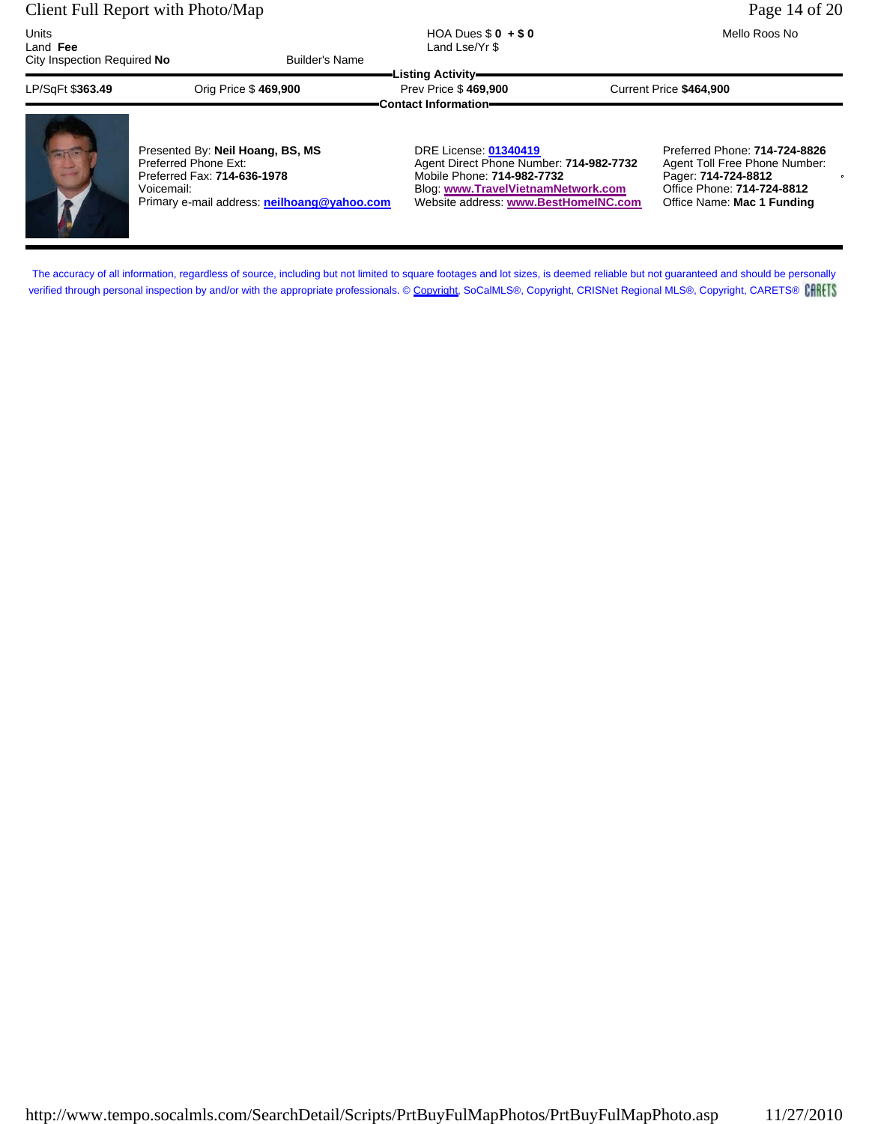#### Client Full Report with Photo/Map Page 14 of 20

| Units<br>Land Fee<br>City Inspection Required No | <b>Builder's Name</b>            | HOA Dues $$0 + $0$<br>Land Lse/Yr \$                                     | Mello Roos No                 |
|--------------------------------------------------|----------------------------------|--------------------------------------------------------------------------|-------------------------------|
| LP/SqFt \$363.49                                 | Orig Price \$469,900             | Listing Activity=<br>Prev Price \$469,900<br><b>Contact Information=</b> | Current Price \$464.900       |
|                                                  | Presented By: Neil Hoang, BS, MS | <b>DRE License: 01340419</b>                                             | Preferred Phone: 714-724-8826 |

Preferred Phone Ext: Thome Agent Direct Phone Number: **714-982-7732** Agent Toll Free Phone Number:<br>Preferred Fax: **714-636-1978** Mobile Phone: **714-982-7732** Pager: **714-724-8812** Preferred Fax: **714-636-1978** Mobile Phone: **714-982-7732** Pager: **714-724-8812** Primary e-mail address: **neilhoang@yahoo.com** 

Blog: www.TravelVietnamNetwork.com Office Phone: **714-724-8812**<br>Website address: www.BestHomelNC.com Office Name: Mac 1 Funding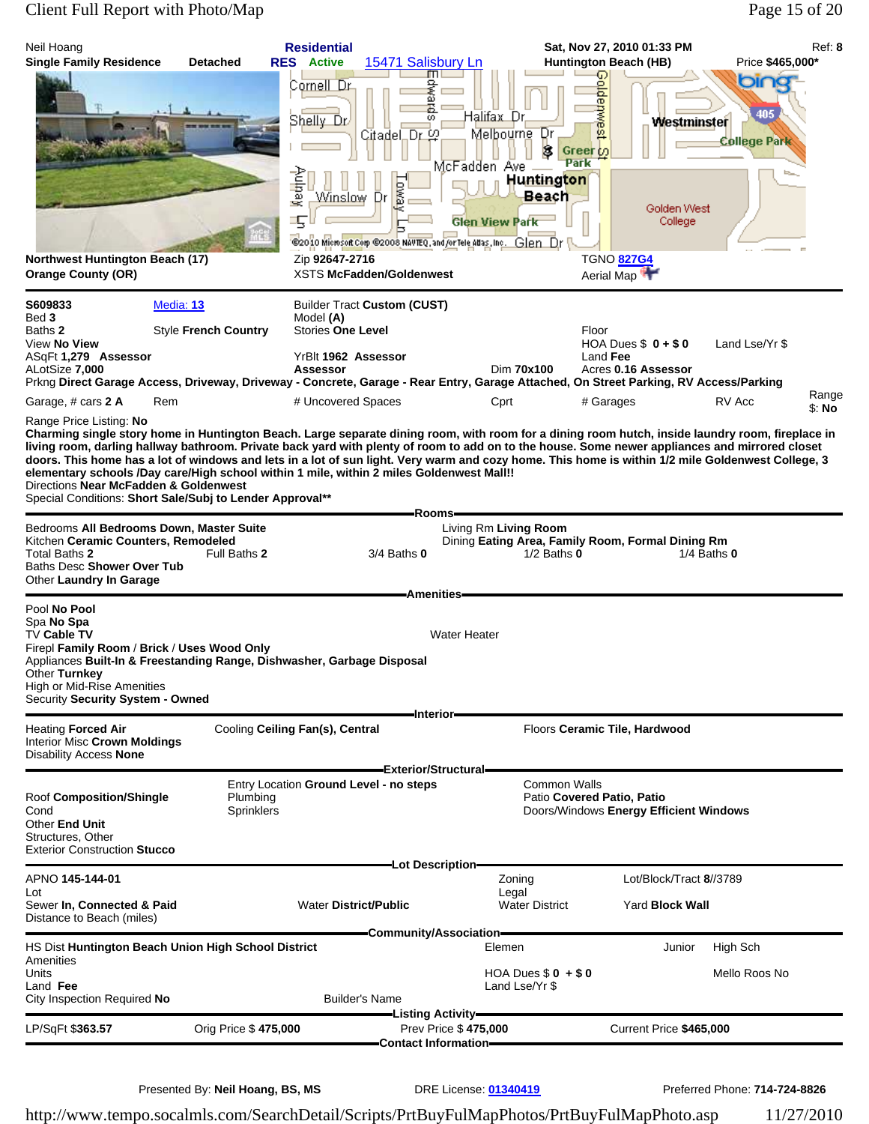# Client Full Report with Photo/Map Page 15 of 20

| S609833<br>Media: 13<br><b>Builder Tract Custom (CUST)</b><br>Bed 3<br>Model (A)<br><b>Style French Country</b><br><b>Stories One Level</b><br>Floor<br>Baths <b>2</b><br>Land Lse/Yr \$<br>View No View<br>HOA Dues $$0 + $0$<br>YrBlt 1962 Assessor<br>Land Fee<br>ASqFt 1,279 Assessor<br>ALotSize 7,000<br>Dim 70x100<br><b>Assessor</b><br>Acres 0.16 Assessor<br>Prkng Direct Garage Access, Driveway, Driveway - Concrete, Garage - Rear Entry, Garage Attached, On Street Parking, RV Access/Parking<br>Range<br>Garage, # cars 2 A<br>Rem<br># Uncovered Spaces<br>Cprt<br>RV Acc<br># Garages<br>\$: No<br>Range Price Listing: No<br>Charming single story home in Huntington Beach. Large separate dining room, with room for a dining room hutch, inside laundry room, fireplace in<br>living room, darling hallway bathroom. Private back yard with plenty of room to add on to the house. Some newer appliances and mirrored closet<br>doors. This home has a lot of windows and lets in a lot of sun light. Very warm and cozy home. This home is within 1/2 mile Goldenwest College, 3<br>elementary schools /Day care/High school within 1 mile, within 2 miles Goldenwest Mall!!<br>Directions Near McFadden & Goldenwest<br>Special Conditions: Short Sale/Subj to Lender Approval**<br>Rooms-<br>Bedrooms All Bedrooms Down, Master Suite<br>Living Rm Living Room<br>Kitchen Ceramic Counters, Remodeled<br>Dining Eating Area, Family Room, Formal Dining Rm<br>Total Baths 2<br>Full Baths 2<br>$3/4$ Baths $0$<br>$1/2$ Baths $0$<br>1/4 Baths $0$<br>Baths Desc Shower Over Tub<br>Other Laundry In Garage<br><b>Amenities</b><br>Pool No Pool<br>Spa No Spa<br>TV Cable TV<br><b>Water Heater</b><br>Firepl Family Room / Brick / Uses Wood Only<br>Appliances Built-In & Freestanding Range, Dishwasher, Garbage Disposal<br>Other Turnkey<br><b>High or Mid-Rise Amenities</b><br>Security Security System - Owned<br>-Interior-<br><b>Heating Forced Air</b><br>Cooling Ceiling Fan(s), Central<br>Floors Ceramic Tile, Hardwood<br><b>Interior Misc Crown Moldings</b><br><b>Disability Access None</b><br>Exterior/Structural=<br>Entry Location Ground Level - no steps<br><b>Common Walls</b><br>Plumbing<br>Patio Covered Patio, Patio<br>Roof Composition/Shingle<br>Sprinklers<br>Doors/Windows Energy Efficient Windows<br>Cond<br>Other End Unit<br>Structures, Other<br><b>Exterior Construction Stucco</b><br>-Lot Description-<br>APNO 145-144-01<br>Lot/Block/Tract 8//3789<br>Zoning<br>Legal<br>Lot<br>Sewer In, Connected & Paid<br><b>Water District/Public</b><br><b>Water District</b><br><b>Yard Block Wall</b><br>Distance to Beach (miles)<br>Community/Association-<br>HS Dist Huntington Beach Union High School District<br>Elemen<br>High Sch<br>Junior<br>Amenities<br>Units<br>HOA Dues $$0 + $0$<br>Mello Roos No<br>Land Fee<br>Land Lse/Yr \$<br><b>Builder's Name</b><br>City Inspection Required No<br>—Listing Activity—<br>Prev Price \$475,000<br>LP/SqFt \$363.57<br>Orig Price \$475,000<br>Current Price \$465,000<br>=Contact Information== | Neil Hoang<br><b>Single Family Residence</b><br>Northwest Huntington Beach (17)<br><b>Orange County (OR)</b> | <b>Detached</b> | <b>Residential</b><br><b>RES</b> Active<br>Cornell Dr<br>Shelly Dr<br>χednoA<br>Winslow<br>丐<br>Zip 92647-2716 | 15471 Salisbury Ln<br>m<br>₹<br>Ë<br>œ<br>Citadel Dr တွ<br><b>BWD</b><br>Dr<br><b>XSTS McFadden/Goldenwest</b> | Halifax Dr.<br>Melbourne Dr<br>McFadden Ave<br><b>Glen View Park</b><br>@2010 Microsoft Corp @2008 NAVTEQ, and for Tele Atlas, Inc. Glen Dr | ⊕<br>oldepwest<br>Ġ.<br>Greer to<br>Park<br>Huntington<br><b>Beach</b> | Sat, Nov 27, 2010 01:33 PM<br><b>Huntington Beach (HB)</b><br>Westminster<br>Golden West<br>College<br><b>TGNO 827G4</b><br>Aerial Map | Price \$465,000*<br>or<br>405<br><b>College Park</b> | Ref: 8 |
|-------------------------------------------------------------------------------------------------------------------------------------------------------------------------------------------------------------------------------------------------------------------------------------------------------------------------------------------------------------------------------------------------------------------------------------------------------------------------------------------------------------------------------------------------------------------------------------------------------------------------------------------------------------------------------------------------------------------------------------------------------------------------------------------------------------------------------------------------------------------------------------------------------------------------------------------------------------------------------------------------------------------------------------------------------------------------------------------------------------------------------------------------------------------------------------------------------------------------------------------------------------------------------------------------------------------------------------------------------------------------------------------------------------------------------------------------------------------------------------------------------------------------------------------------------------------------------------------------------------------------------------------------------------------------------------------------------------------------------------------------------------------------------------------------------------------------------------------------------------------------------------------------------------------------------------------------------------------------------------------------------------------------------------------------------------------------------------------------------------------------------------------------------------------------------------------------------------------------------------------------------------------------------------------------------------------------------------------------------------------------------------------------------------------------------------------------------------------------------------------------------------------------------------------------------------------------------------------------------------------------------------------------------------------------------------------------------------------------------------------------------------------------------------------------------------------------------------------------------------------------------------------------------------------------------------------------------------------------------------------------------------------------------------------------------------------------------------------------------------------|--------------------------------------------------------------------------------------------------------------|-----------------|----------------------------------------------------------------------------------------------------------------|----------------------------------------------------------------------------------------------------------------|---------------------------------------------------------------------------------------------------------------------------------------------|------------------------------------------------------------------------|----------------------------------------------------------------------------------------------------------------------------------------|------------------------------------------------------|--------|
|                                                                                                                                                                                                                                                                                                                                                                                                                                                                                                                                                                                                                                                                                                                                                                                                                                                                                                                                                                                                                                                                                                                                                                                                                                                                                                                                                                                                                                                                                                                                                                                                                                                                                                                                                                                                                                                                                                                                                                                                                                                                                                                                                                                                                                                                                                                                                                                                                                                                                                                                                                                                                                                                                                                                                                                                                                                                                                                                                                                                                                                                                                                   |                                                                                                              |                 |                                                                                                                |                                                                                                                |                                                                                                                                             |                                                                        |                                                                                                                                        |                                                      |        |
|                                                                                                                                                                                                                                                                                                                                                                                                                                                                                                                                                                                                                                                                                                                                                                                                                                                                                                                                                                                                                                                                                                                                                                                                                                                                                                                                                                                                                                                                                                                                                                                                                                                                                                                                                                                                                                                                                                                                                                                                                                                                                                                                                                                                                                                                                                                                                                                                                                                                                                                                                                                                                                                                                                                                                                                                                                                                                                                                                                                                                                                                                                                   |                                                                                                              |                 |                                                                                                                |                                                                                                                |                                                                                                                                             |                                                                        |                                                                                                                                        |                                                      |        |
|                                                                                                                                                                                                                                                                                                                                                                                                                                                                                                                                                                                                                                                                                                                                                                                                                                                                                                                                                                                                                                                                                                                                                                                                                                                                                                                                                                                                                                                                                                                                                                                                                                                                                                                                                                                                                                                                                                                                                                                                                                                                                                                                                                                                                                                                                                                                                                                                                                                                                                                                                                                                                                                                                                                                                                                                                                                                                                                                                                                                                                                                                                                   |                                                                                                              |                 |                                                                                                                |                                                                                                                |                                                                                                                                             |                                                                        |                                                                                                                                        |                                                      |        |
|                                                                                                                                                                                                                                                                                                                                                                                                                                                                                                                                                                                                                                                                                                                                                                                                                                                                                                                                                                                                                                                                                                                                                                                                                                                                                                                                                                                                                                                                                                                                                                                                                                                                                                                                                                                                                                                                                                                                                                                                                                                                                                                                                                                                                                                                                                                                                                                                                                                                                                                                                                                                                                                                                                                                                                                                                                                                                                                                                                                                                                                                                                                   |                                                                                                              |                 |                                                                                                                |                                                                                                                |                                                                                                                                             |                                                                        |                                                                                                                                        |                                                      |        |
|                                                                                                                                                                                                                                                                                                                                                                                                                                                                                                                                                                                                                                                                                                                                                                                                                                                                                                                                                                                                                                                                                                                                                                                                                                                                                                                                                                                                                                                                                                                                                                                                                                                                                                                                                                                                                                                                                                                                                                                                                                                                                                                                                                                                                                                                                                                                                                                                                                                                                                                                                                                                                                                                                                                                                                                                                                                                                                                                                                                                                                                                                                                   |                                                                                                              |                 |                                                                                                                |                                                                                                                |                                                                                                                                             |                                                                        |                                                                                                                                        |                                                      |        |
|                                                                                                                                                                                                                                                                                                                                                                                                                                                                                                                                                                                                                                                                                                                                                                                                                                                                                                                                                                                                                                                                                                                                                                                                                                                                                                                                                                                                                                                                                                                                                                                                                                                                                                                                                                                                                                                                                                                                                                                                                                                                                                                                                                                                                                                                                                                                                                                                                                                                                                                                                                                                                                                                                                                                                                                                                                                                                                                                                                                                                                                                                                                   |                                                                                                              |                 |                                                                                                                |                                                                                                                |                                                                                                                                             |                                                                        |                                                                                                                                        |                                                      |        |
|                                                                                                                                                                                                                                                                                                                                                                                                                                                                                                                                                                                                                                                                                                                                                                                                                                                                                                                                                                                                                                                                                                                                                                                                                                                                                                                                                                                                                                                                                                                                                                                                                                                                                                                                                                                                                                                                                                                                                                                                                                                                                                                                                                                                                                                                                                                                                                                                                                                                                                                                                                                                                                                                                                                                                                                                                                                                                                                                                                                                                                                                                                                   |                                                                                                              |                 |                                                                                                                |                                                                                                                |                                                                                                                                             |                                                                        |                                                                                                                                        |                                                      |        |
|                                                                                                                                                                                                                                                                                                                                                                                                                                                                                                                                                                                                                                                                                                                                                                                                                                                                                                                                                                                                                                                                                                                                                                                                                                                                                                                                                                                                                                                                                                                                                                                                                                                                                                                                                                                                                                                                                                                                                                                                                                                                                                                                                                                                                                                                                                                                                                                                                                                                                                                                                                                                                                                                                                                                                                                                                                                                                                                                                                                                                                                                                                                   |                                                                                                              |                 |                                                                                                                |                                                                                                                |                                                                                                                                             |                                                                        |                                                                                                                                        |                                                      |        |
|                                                                                                                                                                                                                                                                                                                                                                                                                                                                                                                                                                                                                                                                                                                                                                                                                                                                                                                                                                                                                                                                                                                                                                                                                                                                                                                                                                                                                                                                                                                                                                                                                                                                                                                                                                                                                                                                                                                                                                                                                                                                                                                                                                                                                                                                                                                                                                                                                                                                                                                                                                                                                                                                                                                                                                                                                                                                                                                                                                                                                                                                                                                   |                                                                                                              |                 |                                                                                                                |                                                                                                                |                                                                                                                                             |                                                                        |                                                                                                                                        |                                                      |        |
|                                                                                                                                                                                                                                                                                                                                                                                                                                                                                                                                                                                                                                                                                                                                                                                                                                                                                                                                                                                                                                                                                                                                                                                                                                                                                                                                                                                                                                                                                                                                                                                                                                                                                                                                                                                                                                                                                                                                                                                                                                                                                                                                                                                                                                                                                                                                                                                                                                                                                                                                                                                                                                                                                                                                                                                                                                                                                                                                                                                                                                                                                                                   |                                                                                                              |                 |                                                                                                                |                                                                                                                |                                                                                                                                             |                                                                        |                                                                                                                                        |                                                      |        |

Presented By: Neil Hoang, BS, MS DRE License: 01340419 Preferred Phone: 714-724-8826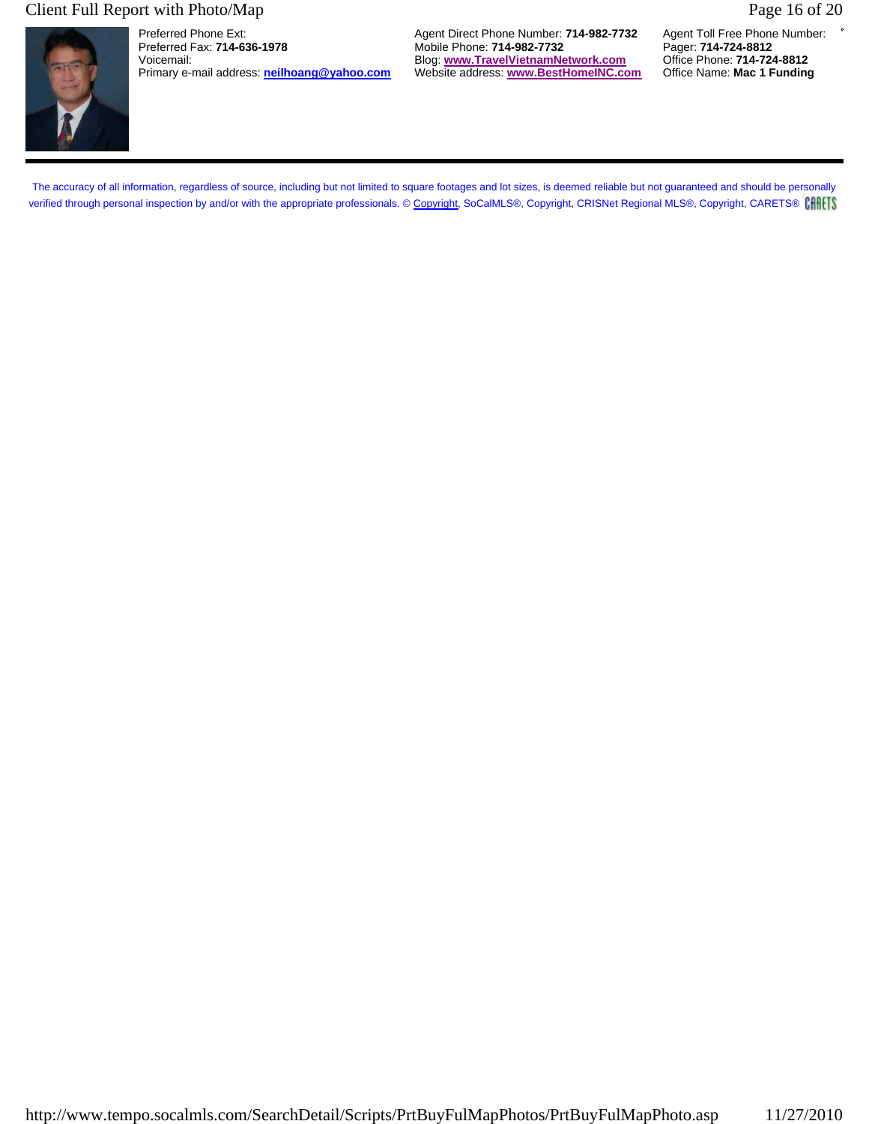## Client Full Report with Photo/Map Page 16 of 20



Primary e-mail address: **neilhoang@yahoo.com** 

Preferred Phone Ext: **Agent Direct Phone Number: 714-982-7732** Agent Toll Free Phone Number: **Preferred Fax: 714-636-1978** Agent Mobile Phone: **714-982-7732** Pager: **714-724-8812** Preferred Fax: **714-636-1978** Mobile Phone: **714-982-7732** Pager: **714-724-8812** Voicemail: Blog: **www.TravelVietnamNetwork.com** Office Phone: **714-724-8812**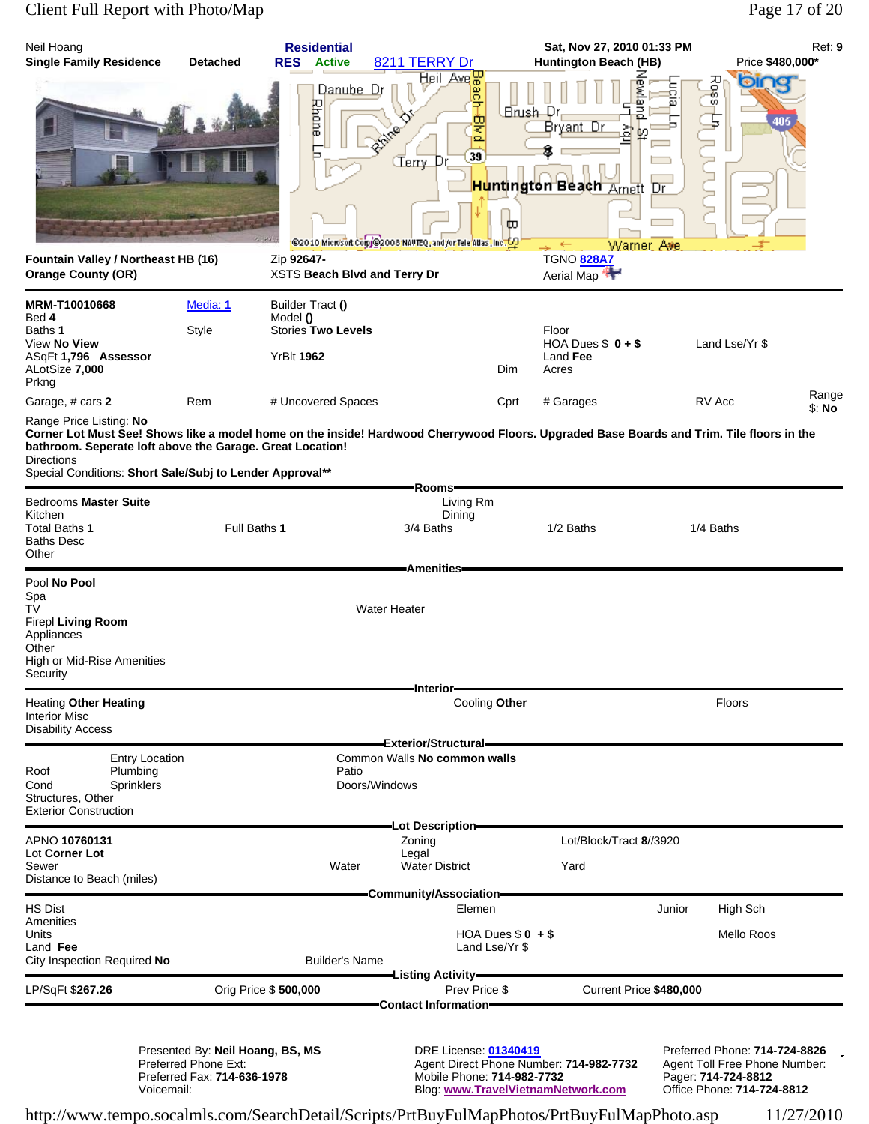# Client Full Report with Photo/Map Page 17 of 20

| Neil Hoang<br><b>Single Family Residence</b>                                                                                                                                                                                                                                                                       | <b>Detached</b>                                                                         | <b>Residential</b><br><b>RES</b><br><b>Active</b>                              | 8211 TERRY Dr                                                                                                                             |                                     | Sat, Nov 27, 2010 01:33 PM<br><b>Huntington Beach (HB)</b>                                                                 |        | Price \$480,000*                                                                                                    | Ref: 9 |
|--------------------------------------------------------------------------------------------------------------------------------------------------------------------------------------------------------------------------------------------------------------------------------------------------------------------|-----------------------------------------------------------------------------------------|--------------------------------------------------------------------------------|-------------------------------------------------------------------------------------------------------------------------------------------|-------------------------------------|----------------------------------------------------------------------------------------------------------------------------|--------|---------------------------------------------------------------------------------------------------------------------|--------|
| Fountain Valley / Northeast HB (16)                                                                                                                                                                                                                                                                                |                                                                                         | Danube Dr<br>Rhone<br>Zip 92647-                                               | Heil Ave <mark> 문</mark><br>æ<br>的<br>Q<br><b>RAIR</b><br>39<br>CTerry Dr<br>@2010 Microsoft Com/@2008 NAVTEQ, and /or Tele Adas, Inc. O2 | Brush Dr<br>ω                       | <b>Bivig</b><br>ã<br>Bryant Dr<br>혘<br><mark>Hu</mark> ntington Beach <sub>Amett</sub> Dr<br>Warner Ave<br>←<br>TGNO 828A7 | ā      | Resol<br>வை<br>405                                                                                                  |        |
| <b>Orange County (OR)</b>                                                                                                                                                                                                                                                                                          |                                                                                         | XSTS Beach Blvd and Terry Dr                                                   |                                                                                                                                           |                                     | Aerial Map                                                                                                                 |        |                                                                                                                     |        |
| MRM-T10010668<br>Bed 4<br>Baths 1<br>View No View<br>ASqFt 1,796 Assessor<br>ALotSize 7,000                                                                                                                                                                                                                        | Media: 1<br>Style                                                                       | Builder Tract ()<br>Model ()<br><b>Stories Two Levels</b><br><b>YrBIt 1962</b> |                                                                                                                                           | Dim                                 | Floor<br>HOA Dues $$0 + $$<br>Land Fee<br>Acres                                                                            |        | Land Lse/Yr \$                                                                                                      |        |
| Prkng<br>Garage, # cars 2                                                                                                                                                                                                                                                                                          | Rem                                                                                     | # Uncovered Spaces                                                             |                                                                                                                                           | Cprt                                | # Garages                                                                                                                  |        | RV Acc                                                                                                              | Range  |
| Range Price Listing: No<br>Corner Lot Must See! Shows like a model home on the inside! Hardwood Cherrywood Floors. Upgraded Base Boards and Trim. Tile floors in the<br>bathroom. Seperate loft above the Garage. Great Location!<br><b>Directions</b><br>Special Conditions: Short Sale/Subj to Lender Approval** |                                                                                         |                                                                                | Rooms <del>-</del>                                                                                                                        |                                     |                                                                                                                            |        |                                                                                                                     | \$: No |
| <b>Bedrooms Master Suite</b><br>Kitchen<br>Total Baths 1<br><b>Baths Desc</b><br>Other                                                                                                                                                                                                                             | Full Baths 1                                                                            |                                                                                | Living Rm<br>Dining<br>3/4 Baths<br><b>Amenities</b>                                                                                      |                                     | 1/2 Baths                                                                                                                  |        | 1/4 Baths                                                                                                           |        |
| Pool No Pool<br>Spa<br>TV<br><b>Firepl Living Room</b><br>Appliances<br>Other<br>High or Mid-Rise Amenities<br>Security                                                                                                                                                                                            |                                                                                         |                                                                                | <b>Water Heater</b>                                                                                                                       |                                     |                                                                                                                            |        |                                                                                                                     |        |
| <b>Heating Other Heating</b><br><b>Interior Misc</b><br><b>Disability Access</b>                                                                                                                                                                                                                                   |                                                                                         |                                                                                | -Interior-<br>Cooling Other                                                                                                               |                                     |                                                                                                                            |        | <b>Floors</b>                                                                                                       |        |
| <b>Entry Location</b><br>Plumbing<br>Roof<br>Sprinklers<br>Cond<br>Structures, Other<br><b>Exterior Construction</b>                                                                                                                                                                                               |                                                                                         | Patio<br>Doors/Windows                                                         | Exterior/Structural=<br>Common Walls No common walls                                                                                      |                                     |                                                                                                                            |        |                                                                                                                     |        |
| APNO 10760131                                                                                                                                                                                                                                                                                                      |                                                                                         |                                                                                | -Lot Description-<br>Zoning                                                                                                               |                                     | Lot/Block/Tract 8//3920                                                                                                    |        |                                                                                                                     |        |
| Lot Corner Lot<br>Sewer<br>Distance to Beach (miles)                                                                                                                                                                                                                                                               |                                                                                         | Water                                                                          | Legal<br><b>Water District</b>                                                                                                            |                                     | Yard                                                                                                                       |        |                                                                                                                     |        |
| <b>HS Dist</b><br>Amenities<br>Units<br>Land Fee<br>City Inspection Required No                                                                                                                                                                                                                                    |                                                                                         | Builder's Name                                                                 | -Community/Association-<br>Elemen                                                                                                         | HOA Dues $$0 + $$<br>Land Lse/Yr \$ |                                                                                                                            | Junior | High Sch<br>Mello Roos                                                                                              |        |
| LP/SqFt \$267.26                                                                                                                                                                                                                                                                                                   |                                                                                         | Orig Price \$500,000                                                           | -Listing Activity <del>–</del><br>Prev Price \$<br><b>Contact Information=</b>                                                            |                                     | Current Price \$480,000                                                                                                    |        |                                                                                                                     |        |
| Voicemail:                                                                                                                                                                                                                                                                                                         | Presented By: Neil Hoang, BS, MS<br>Preferred Phone Ext:<br>Preferred Fax: 714-636-1978 |                                                                                | <b>DRE License: 01340419</b><br>Mobile Phone: 714-982-7732                                                                                |                                     | Agent Direct Phone Number: 714-982-7732<br>Blog: www.TravelVietnamNetwork.com                                              |        | Preferred Phone: 714-724-8826<br>Agent Toll Free Phone Number:<br>Pager: 714-724-8812<br>Office Phone: 714-724-8812 |        |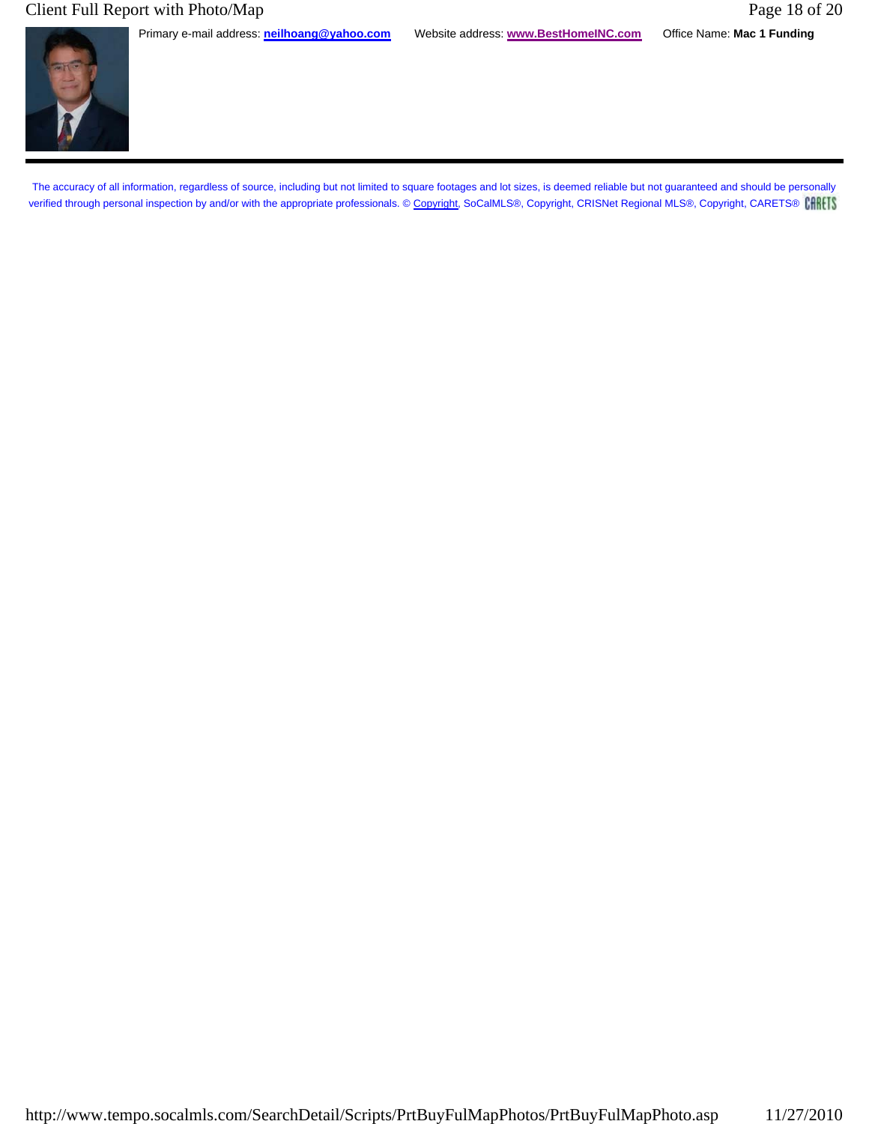## Client Full Report with Photo/Map Page 18 of 20

Primary e-mail address: **neilhoang@yahoo.com** Website address: **www.BestHomeINC.com** Office Name: **Mac 1 Funding**

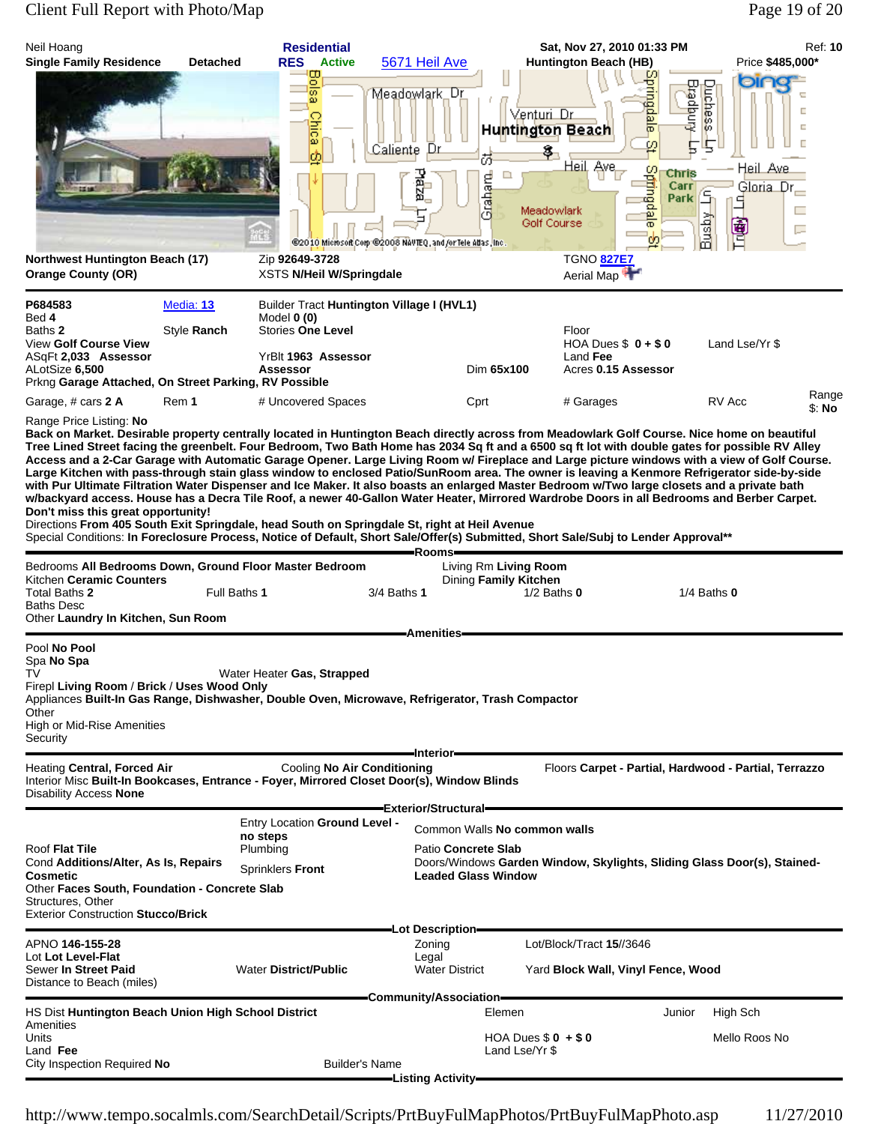# Client Full Report with Photo/Map Page 19 of 20

| Neil Hoang<br><b>Single Family Residence</b>                                                                                                                                                                                                                                                                                                                                                                                                                                                                                                                                                                                                                                                                                                                                                                                                                                                                                                                                                       | <b>Detached</b> | <b>Residential</b><br><b>RES</b> Active                                          | 5671 Heil Ave                                                                                                         | <b>Huntington Beach (HB)</b>                                                              | Sat, Nov 27, 2010 01:33 PM                                                                       | Ref: 10<br>Price \$485,000*                                                         |
|----------------------------------------------------------------------------------------------------------------------------------------------------------------------------------------------------------------------------------------------------------------------------------------------------------------------------------------------------------------------------------------------------------------------------------------------------------------------------------------------------------------------------------------------------------------------------------------------------------------------------------------------------------------------------------------------------------------------------------------------------------------------------------------------------------------------------------------------------------------------------------------------------------------------------------------------------------------------------------------------------|-----------------|----------------------------------------------------------------------------------|-----------------------------------------------------------------------------------------------------------------------|-------------------------------------------------------------------------------------------|--------------------------------------------------------------------------------------------------|-------------------------------------------------------------------------------------|
|                                                                                                                                                                                                                                                                                                                                                                                                                                                                                                                                                                                                                                                                                                                                                                                                                                                                                                                                                                                                    |                 | g,<br>ळ<br>ω<br><b>Chic</b><br>ω<br>ф                                            | Meadowlark_Dr<br>Caliente<br>Dr<br>5<br>Paza<br>Graham<br>@2010 Microsoft Corp @2008 NAVTEQ, and for Tele Atlas, Inc. | Venturi Dr<br><b>Huntington Beach</b><br>8,<br>Heil Ave<br>□<br>Meadowlark<br>Golf Course | g<br><b>Bradpury</b><br>qiale<br>$\varrho$<br>5<br>Springda<br>Chris<br>Carr<br><b>Park</b><br>ᢛ | bin<br>Quches<br>г<br>Е<br>ю<br>5<br>Heil Ave<br>Gloria Dr<br>G<br>٩<br>Busby<br>會日 |
| Northwest Huntington Beach (17)<br><b>Orange County (OR)</b>                                                                                                                                                                                                                                                                                                                                                                                                                                                                                                                                                                                                                                                                                                                                                                                                                                                                                                                                       |                 | Zip 92649-3728<br>XSTS N/Heil W/Springdale                                       |                                                                                                                       | <b>TGNO 827E7</b>                                                                         | Aerial Map                                                                                       |                                                                                     |
| P684583<br>Bed 4                                                                                                                                                                                                                                                                                                                                                                                                                                                                                                                                                                                                                                                                                                                                                                                                                                                                                                                                                                                   | Media: 13       | Model $0(0)$                                                                     | <b>Builder Tract Huntington Village I (HVL1)</b>                                                                      |                                                                                           |                                                                                                  |                                                                                     |
| Baths 2<br><b>View Golf Course View</b><br>ASqFt 2,033 Assessor<br>ALotSize 6,500<br>Prkng Garage Attached, On Street Parking, RV Possible                                                                                                                                                                                                                                                                                                                                                                                                                                                                                                                                                                                                                                                                                                                                                                                                                                                         | Style Ranch     | <b>Stories One Level</b><br>YrBlt 1963 Assessor<br><b>Assessor</b>               |                                                                                                                       | Floor<br>Land Fee<br>Dim 65x100                                                           | HOA Dues $$0 + $0$<br>Acres 0.15 Assessor                                                        | Land Lse/Yr \$                                                                      |
| Garage, # cars 2 A                                                                                                                                                                                                                                                                                                                                                                                                                                                                                                                                                                                                                                                                                                                                                                                                                                                                                                                                                                                 | Rem 1           | # Uncovered Spaces                                                               | Cprt                                                                                                                  | # Garages                                                                                 |                                                                                                  | Range<br>RV Acc<br>\$: No                                                           |
| Access and a 2-Car Garage with Automatic Garage Opener. Large Living Room w/ Fireplace and Large picture windows with a view of Golf Course.<br>Large Kitchen with pass-through stain glass window to enclosed Patio/SunRoom area. The owner is leaving a Kenmore Refrigerator side-by-side<br>with Pur Ultimate Filtration Water Dispenser and Ice Maker. It also boasts an enlarged Master Bedroom w/Two large closets and a private bath<br>w/backyard access. House has a Decra Tile Roof, a newer 40-Gallon Water Heater, Mirrored Wardrobe Doors in all Bedrooms and Berber Carpet.<br>Don't miss this great opportunity!<br>Directions From 405 South Exit Springdale, head South on Springdale St, right at Heil Avenue<br>Special Conditions: In Foreclosure Process, Notice of Default, Short Sale/Offer(s) Submitted, Short Sale/Subj to Lender Approval**<br>Bedrooms All Bedrooms Down, Ground Floor Master Bedroom<br>Kitchen Ceramic Counters<br>Total Baths 2<br><b>Baths Desc</b> | Full Baths 1    |                                                                                  | -Rooms-<br>3/4 Baths 1                                                                                                | Living Rm Living Room<br>Dining Family Kitchen<br>$1/2$ Baths $0$                         |                                                                                                  | $1/4$ Baths $0$                                                                     |
| Other Laundry In Kitchen, Sun Room<br>Pool No Pool                                                                                                                                                                                                                                                                                                                                                                                                                                                                                                                                                                                                                                                                                                                                                                                                                                                                                                                                                 |                 |                                                                                  | <b>Amenities</b>                                                                                                      |                                                                                           |                                                                                                  |                                                                                     |
| Spa <b>No Spa</b><br>TV<br>Firepl Living Room / Brick / Uses Wood Only<br>Appliances Built-In Gas Range, Dishwasher, Double Oven, Microwave, Refrigerator, Trash Compactor<br>Other<br>High or Mid-Rise Amenities<br>Security                                                                                                                                                                                                                                                                                                                                                                                                                                                                                                                                                                                                                                                                                                                                                                      |                 | Water Heater Gas, Strapped                                                       | —Interior—                                                                                                            |                                                                                           |                                                                                                  |                                                                                     |
| Heating Central, Forced Air<br>Interior Misc Built-In Bookcases, Entrance - Foyer, Mirrored Closet Door(s), Window Blinds<br><b>Disability Access None</b>                                                                                                                                                                                                                                                                                                                                                                                                                                                                                                                                                                                                                                                                                                                                                                                                                                         |                 | Cooling No Air Conditioning                                                      | =Exterior/Structural=                                                                                                 |                                                                                           |                                                                                                  | Floors Carpet - Partial, Hardwood - Partial, Terrazzo                               |
| Roof Flat Tile<br>Cond Additions/Alter, As Is, Repairs<br>Cosmetic<br>Other Faces South, Foundation - Concrete Slab<br>Structures, Other<br><b>Exterior Construction Stucco/Brick</b>                                                                                                                                                                                                                                                                                                                                                                                                                                                                                                                                                                                                                                                                                                                                                                                                              |                 | <b>Entry Location Ground Level -</b><br>no steps<br>Plumbing<br>Sprinklers Front | Patio Concrete Slab<br><b>Leaded Glass Window</b>                                                                     | Common Walls No common walls                                                              |                                                                                                  | Doors/Windows Garden Window, Skylights, Sliding Glass Door(s), Stained-             |
| APNO 146-155-28<br>Lot Lot Level-Flat<br>Sewer In Street Paid<br>Distance to Beach (miles)                                                                                                                                                                                                                                                                                                                                                                                                                                                                                                                                                                                                                                                                                                                                                                                                                                                                                                         |                 | <b>Water District/Public</b>                                                     | -Lot Description-<br>Zoning<br>Legal<br><b>Water District</b>                                                         | Lot/Block/Tract 15//3646                                                                  | Yard Block Wall, Vinyl Fence, Wood                                                               |                                                                                     |
| HS Dist Huntington Beach Union High School District                                                                                                                                                                                                                                                                                                                                                                                                                                                                                                                                                                                                                                                                                                                                                                                                                                                                                                                                                |                 |                                                                                  | -Community/Association <del>--</del>                                                                                  | Elemen                                                                                    | Junior                                                                                           | High Sch                                                                            |
| Amenities<br>Units<br>Land Fee<br>City Inspection Required No                                                                                                                                                                                                                                                                                                                                                                                                                                                                                                                                                                                                                                                                                                                                                                                                                                                                                                                                      |                 | <b>Builder's Name</b>                                                            |                                                                                                                       | HOA Dues $$0 + $0$<br>Land Lse/Yr \$                                                      |                                                                                                  | Mello Roos No                                                                       |
|                                                                                                                                                                                                                                                                                                                                                                                                                                                                                                                                                                                                                                                                                                                                                                                                                                                                                                                                                                                                    |                 |                                                                                  | -Listing Activity—                                                                                                    |                                                                                           |                                                                                                  |                                                                                     |